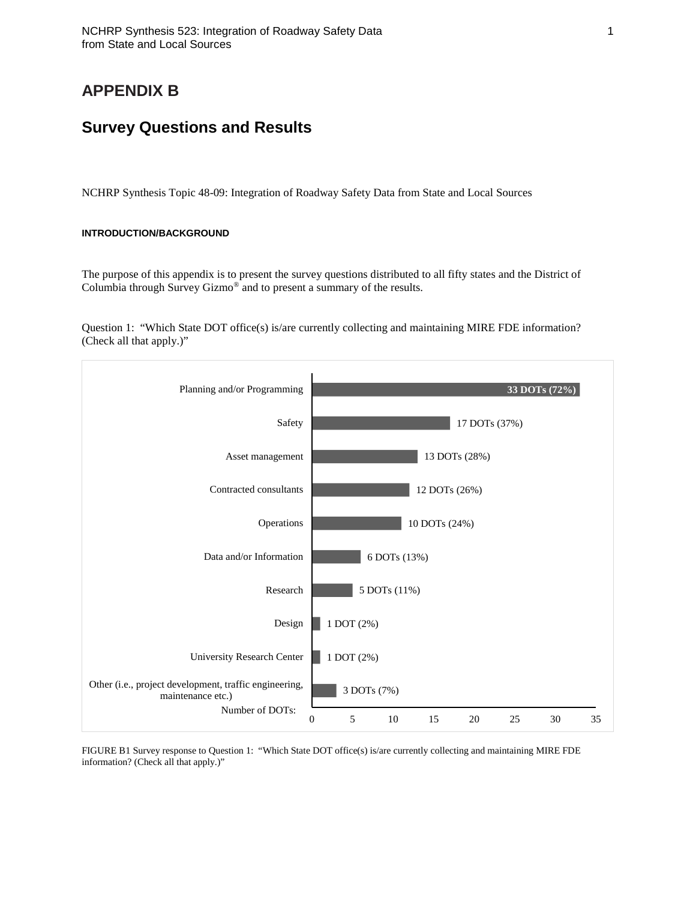# **APPENDIX B**

# **Survey Questions and Results**

NCHRP Synthesis Topic 48-09: Integration of Roadway Safety Data from State and Local Sources

#### **INTRODUCTION/BACKGROUND**

The purpose of this appendix is to present the survey questions distributed to all fifty states and the District of Columbia through Survey Gizmo® and to present a summary of the results.

Question 1: "Which State DOT office(s) is/are currently collecting and maintaining MIRE FDE information? (Check all that apply.)"



FIGURE B1 Survey response to Question 1: "Which State DOT office(s) is/are currently collecting and maintaining MIRE FDE information? (Check all that apply.)"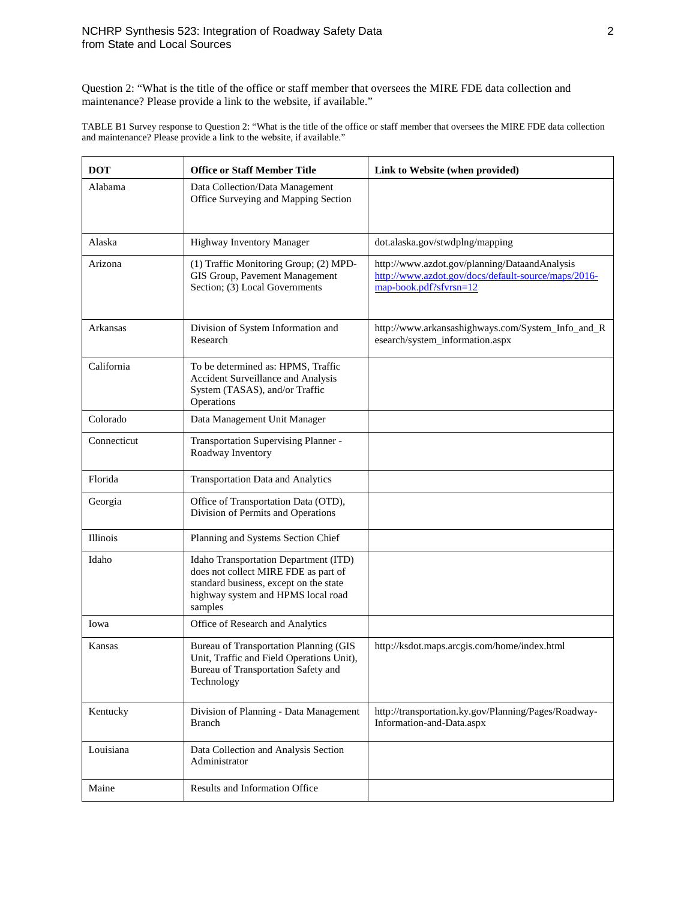Question 2: "What is the title of the office or staff member that oversees the MIRE FDE data collection and maintenance? Please provide a link to the website, if available."

TABLE B1 Survey response to Question 2: "What is the title of the office or staff member that oversees the MIRE FDE data collection and maintenance? Please provide a link to the website, if available."

| <b>DOT</b><br><b>Office or Staff Member Title</b> |                                                                                                                                                                          | Link to Website (when provided)                                                                                                |  |  |
|---------------------------------------------------|--------------------------------------------------------------------------------------------------------------------------------------------------------------------------|--------------------------------------------------------------------------------------------------------------------------------|--|--|
| Alabama                                           | Data Collection/Data Management<br>Office Surveying and Mapping Section                                                                                                  |                                                                                                                                |  |  |
| Alaska                                            | <b>Highway Inventory Manager</b>                                                                                                                                         | dot.alaska.gov/stwdplng/mapping                                                                                                |  |  |
| Arizona                                           | (1) Traffic Monitoring Group; (2) MPD-<br>GIS Group, Pavement Management<br>Section; (3) Local Governments                                                               | http://www.azdot.gov/planning/DataandAnalysis<br>http://www.azdot.gov/docs/default-source/maps/2016-<br>map-book.pdf?sfvrsn=12 |  |  |
| Arkansas                                          | Division of System Information and<br>Research                                                                                                                           | http://www.arkansashighways.com/System_Info_and_R<br>esearch/system_information.aspx                                           |  |  |
| California                                        | To be determined as: HPMS, Traffic<br>Accident Surveillance and Analysis<br>System (TASAS), and/or Traffic<br>Operations                                                 |                                                                                                                                |  |  |
| Colorado                                          | Data Management Unit Manager                                                                                                                                             |                                                                                                                                |  |  |
| Connecticut                                       | Transportation Supervising Planner -<br>Roadway Inventory                                                                                                                |                                                                                                                                |  |  |
| Florida                                           | <b>Transportation Data and Analytics</b>                                                                                                                                 |                                                                                                                                |  |  |
| Georgia                                           | Office of Transportation Data (OTD),<br>Division of Permits and Operations                                                                                               |                                                                                                                                |  |  |
| Illinois                                          | Planning and Systems Section Chief                                                                                                                                       |                                                                                                                                |  |  |
| Idaho                                             | Idaho Transportation Department (ITD)<br>does not collect MIRE FDE as part of<br>standard business, except on the state<br>highway system and HPMS local road<br>samples |                                                                                                                                |  |  |
| Iowa                                              | Office of Research and Analytics                                                                                                                                         |                                                                                                                                |  |  |
| Kansas                                            | Bureau of Transportation Planning (GIS<br>Unit, Traffic and Field Operations Unit),<br>Bureau of Transportation Safety and<br>Technology                                 | http://ksdot.maps.arcgis.com/home/index.html                                                                                   |  |  |
| Kentucky                                          | Division of Planning - Data Management<br>Branch                                                                                                                         | http://transportation.ky.gov/Planning/Pages/Roadway-<br>Information-and-Data.aspx                                              |  |  |
| Louisiana                                         | Data Collection and Analysis Section<br>Administrator                                                                                                                    |                                                                                                                                |  |  |
| Maine                                             | Results and Information Office                                                                                                                                           |                                                                                                                                |  |  |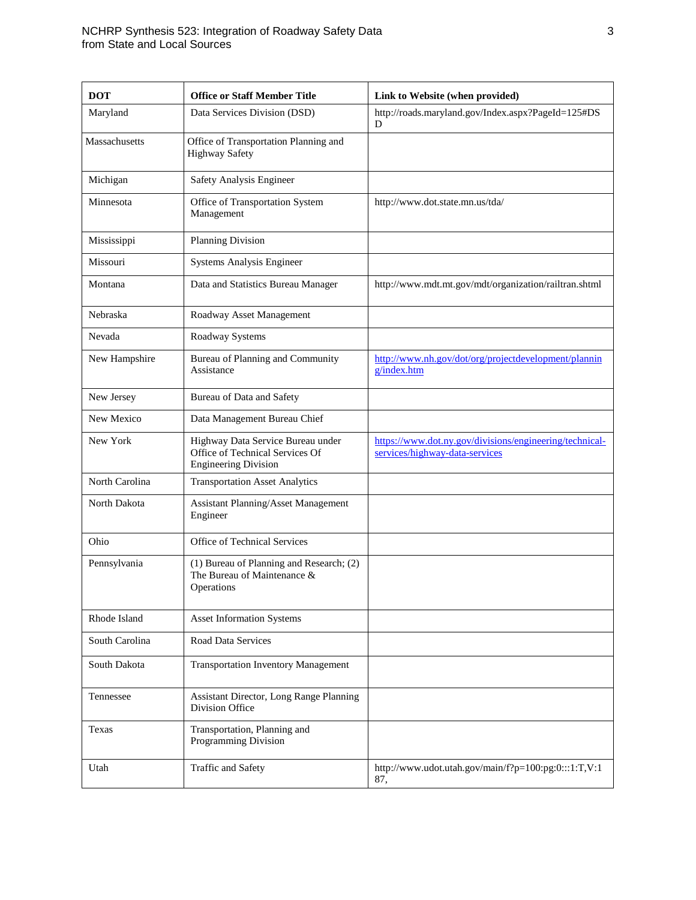| <b>DOT</b>     | <b>Office or Staff Member Title</b>                                                                 | Link to Website (when provided)                                                           |  |  |
|----------------|-----------------------------------------------------------------------------------------------------|-------------------------------------------------------------------------------------------|--|--|
| Maryland       | Data Services Division (DSD)                                                                        | http://roads.maryland.gov/Index.aspx?PageId=125#DS<br>D                                   |  |  |
| Massachusetts  | Office of Transportation Planning and<br><b>Highway Safety</b>                                      |                                                                                           |  |  |
| Michigan       | Safety Analysis Engineer                                                                            |                                                                                           |  |  |
| Minnesota      | Office of Transportation System<br>Management                                                       | http://www.dot.state.mn.us/tda/                                                           |  |  |
| Mississippi    | <b>Planning Division</b>                                                                            |                                                                                           |  |  |
| Missouri       | <b>Systems Analysis Engineer</b>                                                                    |                                                                                           |  |  |
| Montana        | Data and Statistics Bureau Manager                                                                  | http://www.mdt.mt.gov/mdt/organization/railtran.shtml                                     |  |  |
| Nebraska       | Roadway Asset Management                                                                            |                                                                                           |  |  |
| Nevada         | Roadway Systems                                                                                     |                                                                                           |  |  |
| New Hampshire  | Bureau of Planning and Community<br>Assistance                                                      | http://www.nh.gov/dot/org/projectdevelopment/plannin<br>g/index.htm                       |  |  |
| New Jersey     | Bureau of Data and Safety                                                                           |                                                                                           |  |  |
| New Mexico     | Data Management Bureau Chief                                                                        |                                                                                           |  |  |
| New York       | Highway Data Service Bureau under<br>Office of Technical Services Of<br><b>Engineering Division</b> | https://www.dot.ny.gov/divisions/engineering/technical-<br>services/highway-data-services |  |  |
| North Carolina | <b>Transportation Asset Analytics</b>                                                               |                                                                                           |  |  |
| North Dakota   | Assistant Planning/Asset Management<br>Engineer                                                     |                                                                                           |  |  |
| Ohio           | Office of Technical Services                                                                        |                                                                                           |  |  |
| Pennsylvania   | (1) Bureau of Planning and Research; (2)<br>The Bureau of Maintenance &<br>Operations               |                                                                                           |  |  |
| Rhode Island   | <b>Asset Information Systems</b>                                                                    |                                                                                           |  |  |
| South Carolina | Road Data Services                                                                                  |                                                                                           |  |  |
| South Dakota   | <b>Transportation Inventory Management</b>                                                          |                                                                                           |  |  |
| Tennessee      | <b>Assistant Director, Long Range Planning</b><br>Division Office                                   |                                                                                           |  |  |
| Texas          | Transportation, Planning and<br>Programming Division                                                |                                                                                           |  |  |
| Utah           | Traffic and Safety                                                                                  | http://www.udot.utah.gov/main/f?p=100:pg:0:::1:T,V:1<br>87,                               |  |  |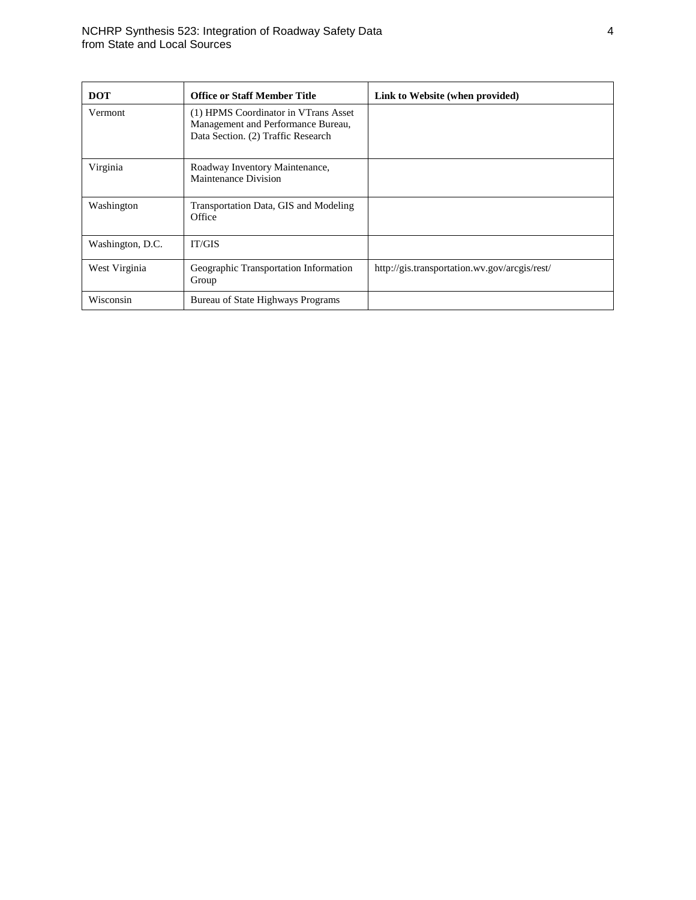| <b>DOT</b>       | <b>Office or Staff Member Title</b>                                                                              | Link to Website (when provided)               |
|------------------|------------------------------------------------------------------------------------------------------------------|-----------------------------------------------|
| Vermont          | (1) HPMS Coordinator in VTrans Asset<br>Management and Performance Bureau,<br>Data Section. (2) Traffic Research |                                               |
| Virginia         | Roadway Inventory Maintenance,<br>Maintenance Division                                                           |                                               |
| Washington       | Transportation Data, GIS and Modeling<br>Office                                                                  |                                               |
| Washington, D.C. | <b>IT/GIS</b>                                                                                                    |                                               |
| West Virginia    | Geographic Transportation Information<br>Group                                                                   | http://gis.transportation.wv.gov/arcgis/rest/ |
| Wisconsin        | Bureau of State Highways Programs                                                                                |                                               |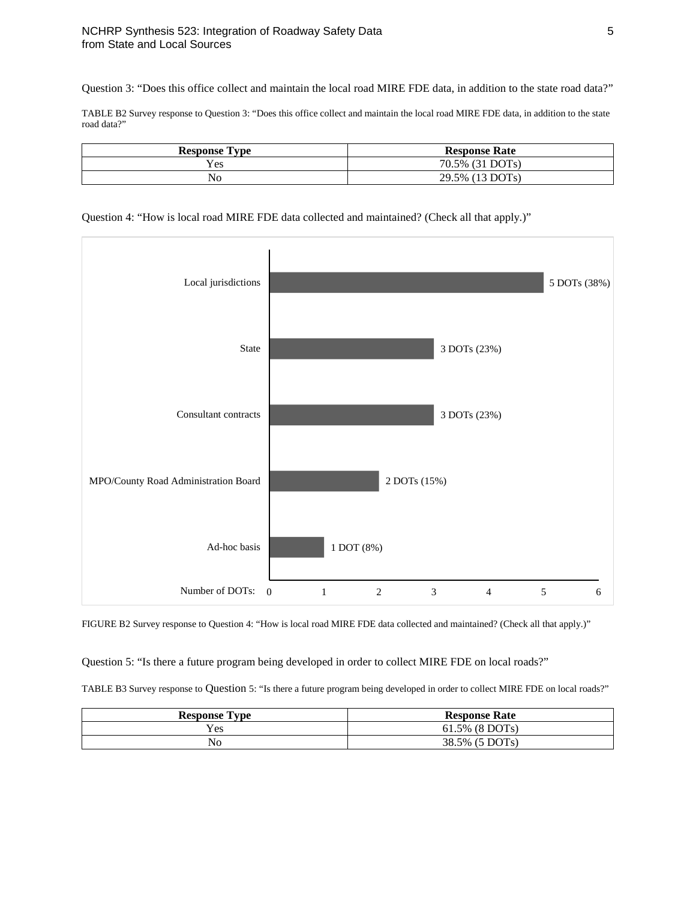Question 3: "Does this office collect and maintain the local road MIRE FDE data, in addition to the state road data?"

TABLE B2 Survey response to Question 3: "Does this office collect and maintain the local road MIRE FDE data, in addition to the state road data?"

| <b>Response Type</b> | <b>Response Rate</b> |  |  |
|----------------------|----------------------|--|--|
| Yes                  | 70.5% (31 DOTs)      |  |  |
| N <sub>o</sub>       | 29.5% (13 DOTs)      |  |  |

### Question 4: "How is local road MIRE FDE data collected and maintained? (Check all that apply.)"



FIGURE B2 Survey response to Question 4: "How is local road MIRE FDE data collected and maintained? (Check all that apply.)"

Question 5: "Is there a future program being developed in order to collect MIRE FDE on local roads?"

TABLE B3 Survey response to Question 5: "Is there a future program being developed in order to collect MIRE FDE on local roads?"

| <b>Response Type</b> | <b>Response Rate</b> |  |  |
|----------------------|----------------------|--|--|
| Yes                  | 61.5% (8 DOTs)       |  |  |
| No                   | 38.5% (5 DOTs)       |  |  |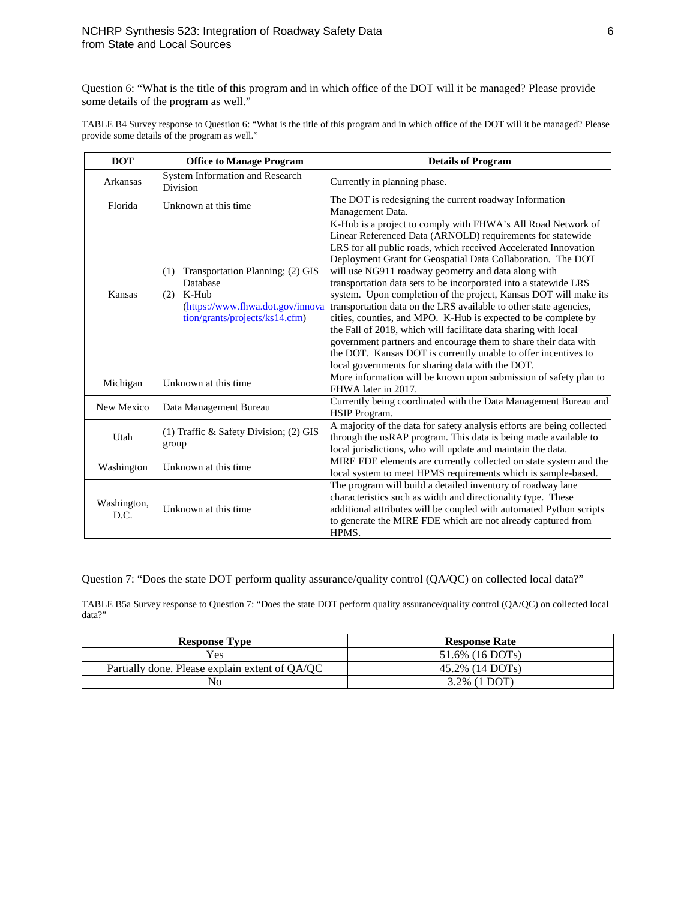Question 6: "What is the title of this program and in which office of the DOT will it be managed? Please provide some details of the program as well."

TABLE B4 Survey response to Question 6: "What is the title of this program and in which office of the DOT will it be managed? Please provide some details of the program as well."

| <b>DOT</b>                                   | <b>Office to Manage Program</b>                                                                                                           | <b>Details of Program</b>                                                                                                                                                                                                                                                                                                                                                                                                                                                                                                                                                                                                                                                                                                                                                                                                                                      |  |  |
|----------------------------------------------|-------------------------------------------------------------------------------------------------------------------------------------------|----------------------------------------------------------------------------------------------------------------------------------------------------------------------------------------------------------------------------------------------------------------------------------------------------------------------------------------------------------------------------------------------------------------------------------------------------------------------------------------------------------------------------------------------------------------------------------------------------------------------------------------------------------------------------------------------------------------------------------------------------------------------------------------------------------------------------------------------------------------|--|--|
| Arkansas                                     | System Information and Research<br><b>Division</b>                                                                                        | Currently in planning phase.                                                                                                                                                                                                                                                                                                                                                                                                                                                                                                                                                                                                                                                                                                                                                                                                                                   |  |  |
| Florida                                      | Unknown at this time.                                                                                                                     | The DOT is redesigning the current roadway Information<br>Management Data.                                                                                                                                                                                                                                                                                                                                                                                                                                                                                                                                                                                                                                                                                                                                                                                     |  |  |
| Kansas                                       | Transportation Planning; (2) GIS<br>(1)<br>Database<br>K-Hub<br>(2)<br>(https://www.fhwa.dot.gov/innova<br>tion/grants/projects/ks14.cfm) | K-Hub is a project to comply with FHWA's All Road Network of<br>Linear Referenced Data (ARNOLD) requirements for statewide<br>LRS for all public roads, which received Accelerated Innovation<br>Deployment Grant for Geospatial Data Collaboration. The DOT<br>will use NG911 roadway geometry and data along with<br>transportation data sets to be incorporated into a statewide LRS<br>system. Upon completion of the project, Kansas DOT will make its<br>transportation data on the LRS available to other state agencies,<br>cities, counties, and MPO. K-Hub is expected to be complete by<br>the Fall of 2018, which will facilitate data sharing with local<br>government partners and encourage them to share their data with<br>the DOT. Kansas DOT is currently unable to offer incentives to<br>local governments for sharing data with the DOT. |  |  |
| Michigan                                     | Unknown at this time                                                                                                                      | More information will be known upon submission of safety plan to<br>FHWA later in 2017.                                                                                                                                                                                                                                                                                                                                                                                                                                                                                                                                                                                                                                                                                                                                                                        |  |  |
| New Mexico                                   | Data Management Bureau                                                                                                                    | Currently being coordinated with the Data Management Bureau and<br><b>HSIP</b> Program.                                                                                                                                                                                                                                                                                                                                                                                                                                                                                                                                                                                                                                                                                                                                                                        |  |  |
| Utah                                         | (1) Traffic & Safety Division; (2) GIS<br>group                                                                                           | A majority of the data for safety analysis efforts are being collected<br>through the usRAP program. This data is being made available to<br>local jurisdictions, who will update and maintain the data.                                                                                                                                                                                                                                                                                                                                                                                                                                                                                                                                                                                                                                                       |  |  |
| Washington                                   | Unknown at this time                                                                                                                      | MIRE FDE elements are currently collected on state system and the<br>local system to meet HPMS requirements which is sample-based.                                                                                                                                                                                                                                                                                                                                                                                                                                                                                                                                                                                                                                                                                                                             |  |  |
| Washington,<br>Unknown at this time.<br>D.C. |                                                                                                                                           | The program will build a detailed inventory of roadway lane<br>characteristics such as width and directionality type. These<br>additional attributes will be coupled with automated Python scripts<br>to generate the MIRE FDE which are not already captured from<br>HPMS.                                                                                                                                                                                                                                                                                                                                                                                                                                                                                                                                                                                    |  |  |

Question 7: "Does the state DOT perform quality assurance/quality control (QA/QC) on collected local data?"

TABLE B5a Survey response to Question 7: "Does the state DOT perform quality assurance/quality control (QA/QC) on collected local data?"

| <b>Response Type</b>                           | <b>Response Rate</b> |
|------------------------------------------------|----------------------|
| Yes                                            | 51.6% (16 DOTs)      |
| Partially done. Please explain extent of OA/OC | 45.2% (14 DOTs)      |
| No                                             | 3.2% (1 DOT)         |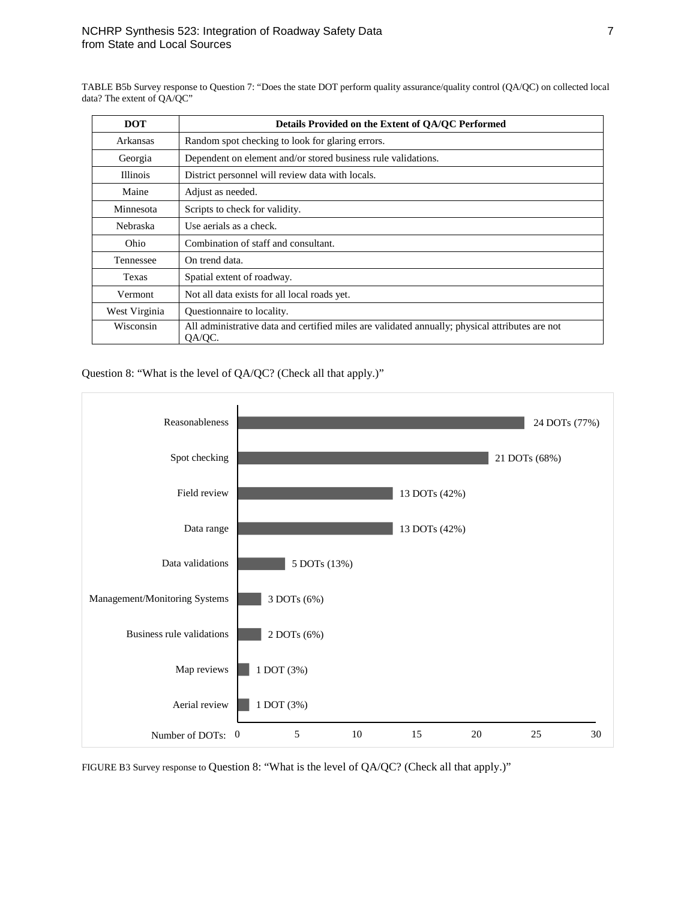TABLE B5b Survey response to Question 7: "Does the state DOT perform quality assurance/quality control (QA/QC) on collected local data? The extent of QA/QC"

| <b>DOT</b>      | Details Provided on the Extent of QA/QC Performed                                                         |  |  |
|-----------------|-----------------------------------------------------------------------------------------------------------|--|--|
| Arkansas        | Random spot checking to look for glaring errors.                                                          |  |  |
| Georgia         | Dependent on element and/or stored business rule validations.                                             |  |  |
| <b>Illinois</b> | District personnel will review data with locals.                                                          |  |  |
| Maine           | Adjust as needed.                                                                                         |  |  |
| Minnesota       | Scripts to check for validity.                                                                            |  |  |
| <b>Nebraska</b> | Use aerials as a check.                                                                                   |  |  |
| Ohio            | Combination of staff and consultant.                                                                      |  |  |
| Tennessee       | On trend data.                                                                                            |  |  |
| Texas           | Spatial extent of roadway.                                                                                |  |  |
| Vermont         | Not all data exists for all local roads yet.                                                              |  |  |
| West Virginia   | Questionnaire to locality.                                                                                |  |  |
| Wisconsin       | All administrative data and certified miles are validated annually; physical attributes are not<br>QA/QC. |  |  |

Question 8: "What is the level of QA/QC? (Check all that apply.)"



FIGURE B3 Survey response to Question 8: "What is the level of QA/QC? (Check all that apply.)"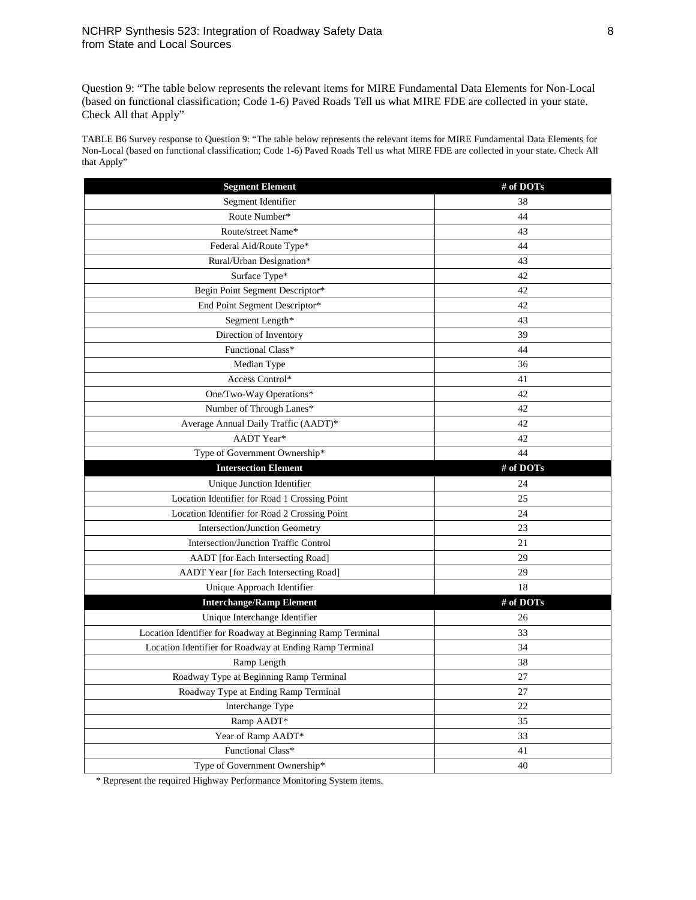Question 9: "The table below represents the relevant items for MIRE Fundamental Data Elements for Non-Local (based on functional classification; Code 1-6) Paved Roads Tell us what MIRE FDE are collected in your state. Check All that Apply"

TABLE B6 Survey response to Question 9: "The table below represents the relevant items for MIRE Fundamental Data Elements for Non-Local (based on functional classification; Code 1-6) Paved Roads Tell us what MIRE FDE are collected in your state. Check All that Apply"

| <b>Segment Element</b>                                     | # of DOTs |
|------------------------------------------------------------|-----------|
| Segment Identifier                                         | 38        |
| Route Number*                                              | 44        |
| Route/street Name*                                         | 43        |
| Federal Aid/Route Type*                                    | 44        |
| Rural/Urban Designation*                                   | 43        |
| Surface Type*                                              | 42        |
| Begin Point Segment Descriptor*                            | 42        |
| End Point Segment Descriptor*                              | 42        |
| Segment Length*                                            | 43        |
| Direction of Inventory                                     | 39        |
| Functional Class*                                          | 44        |
| Median Type                                                | 36        |
| Access Control*                                            | 41        |
| One/Two-Way Operations*                                    | 42        |
| Number of Through Lanes*                                   | 42        |
| Average Annual Daily Traffic (AADT)*                       | 42        |
| AADT Year*                                                 | 42        |
| Type of Government Ownership*                              | 44        |
| <b>Intersection Element</b>                                | # of DOTs |
| Unique Junction Identifier                                 | 24        |
| Location Identifier for Road 1 Crossing Point              | 25        |
| Location Identifier for Road 2 Crossing Point              | 24        |
| Intersection/Junction Geometry                             | 23        |
| Intersection/Junction Traffic Control                      | 21        |
| AADT [for Each Intersecting Road]                          | 29        |
| AADT Year [for Each Intersecting Road]                     | 29        |
| Unique Approach Identifier                                 | 18        |
| <b>Interchange/Ramp Element</b>                            | # of DOTs |
| Unique Interchange Identifier                              | 26        |
| Location Identifier for Roadway at Beginning Ramp Terminal | 33        |
| Location Identifier for Roadway at Ending Ramp Terminal    | 34        |
| Ramp Length                                                | 38        |
| Roadway Type at Beginning Ramp Terminal                    | 27        |
| Roadway Type at Ending Ramp Terminal                       | 27        |
| Interchange Type                                           | 22        |
| Ramp AADT*                                                 | 35        |
| Year of Ramp AADT*                                         | 33        |
| Functional Class*                                          | 41        |
| Type of Government Ownership*                              | 40        |

\* Represent the required Highway Performance Monitoring System items.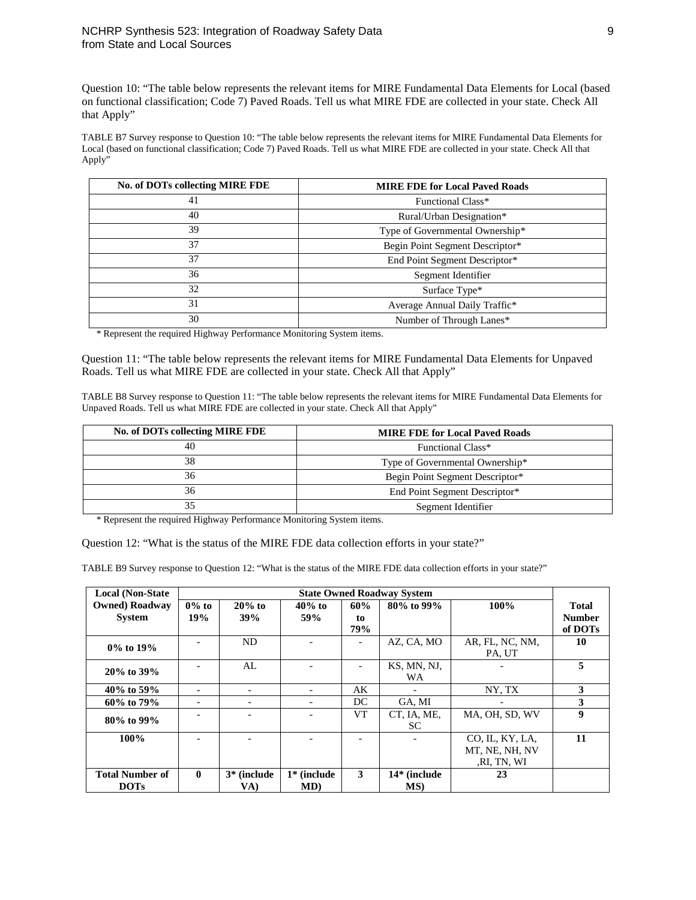Question 10: "The table below represents the relevant items for MIRE Fundamental Data Elements for Local (based on functional classification; Code 7) Paved Roads. Tell us what MIRE FDE are collected in your state. Check All that Apply"

TABLE B7 Survey response to Question 10: "The table below represents the relevant items for MIRE Fundamental Data Elements for Local (based on functional classification; Code 7) Paved Roads. Tell us what MIRE FDE are collected in your state. Check All that Apply"

| No. of DOTs collecting MIRE FDE<br><b>MIRE FDE for Local Paved Roads</b> |                                 |  |  |  |
|--------------------------------------------------------------------------|---------------------------------|--|--|--|
| 41                                                                       | Functional Class*               |  |  |  |
| 40                                                                       | Rural/Urban Designation*        |  |  |  |
| 39                                                                       | Type of Governmental Ownership* |  |  |  |
| 37                                                                       | Begin Point Segment Descriptor* |  |  |  |
| 37                                                                       | End Point Segment Descriptor*   |  |  |  |
| 36                                                                       | Segment Identifier              |  |  |  |
| 32<br>Surface Type*                                                      |                                 |  |  |  |
| 31                                                                       | Average Annual Daily Traffic*   |  |  |  |
| 30                                                                       | Number of Through Lanes*        |  |  |  |

\* Represent the required Highway Performance Monitoring System items.

Question 11: "The table below represents the relevant items for MIRE Fundamental Data Elements for Unpaved Roads. Tell us what MIRE FDE are collected in your state. Check All that Apply"

TABLE B8 Survey response to Question 11: "The table below represents the relevant items for MIRE Fundamental Data Elements for Unpaved Roads. Tell us what MIRE FDE are collected in your state. Check All that Apply"

| No. of DOTs collecting MIRE FDE | <b>MIRE FDE for Local Paved Roads</b> |
|---------------------------------|---------------------------------------|
| 40                              | Functional Class*                     |
| 38                              | Type of Governmental Ownership*       |
| 36                              | Begin Point Segment Descriptor*       |
| 36                              | End Point Segment Descriptor*         |
|                                 | Segment Identifier                    |

\* Represent the required Highway Performance Monitoring System items.

Question 12: "What is the status of the MIRE FDE data collection efforts in your state?"

TABLE B9 Survey response to Question 12: "What is the status of the MIRE FDE data collection efforts in your state?"

| <b>Local (Non-State)</b>                | <b>State Owned Roadway System</b> |                      |                          |                          |                     |                                                  |                                          |
|-----------------------------------------|-----------------------------------|----------------------|--------------------------|--------------------------|---------------------|--------------------------------------------------|------------------------------------------|
| <b>Owned</b> ) Roadway<br><b>System</b> | $0\%$ to<br>19%                   | $20\%$ to<br>39%     | $40\%$ to<br>59%         | 60%<br>to<br>79%         | 80% to 99%          | 100%                                             | <b>Total</b><br><b>Number</b><br>of DOTs |
| $0\%$ to $19\%$                         | -                                 | ND                   | $\overline{\phantom{0}}$ | $\overline{\phantom{a}}$ | AZ, CA, MO          | AR, FL, NC, NM,<br>PA, UT                        | 10                                       |
| 20% to 39%                              |                                   | AL                   | $\overline{\phantom{a}}$ | $\overline{\phantom{a}}$ | KS, MN, NJ,<br>WA   |                                                  | 5                                        |
| 40\% to 59\%                            |                                   |                      | $\overline{\phantom{a}}$ | AK                       |                     | NY, TX                                           | 3                                        |
| 60% to 79%                              | -                                 |                      | $\overline{\phantom{a}}$ | DC                       | GA, MI              |                                                  | 3                                        |
| 80% to 99%                              |                                   |                      | $\overline{a}$           | <b>VT</b>                | CT, IA, ME,<br>SC.  | MA, OH, SD, WV                                   | 9                                        |
| 100%                                    |                                   |                      |                          |                          |                     | CO, IL, KY, LA,<br>MT, NE, NH, NV<br>,RI, TN, WI | 11                                       |
| <b>Total Number of</b><br><b>DOTs</b>   | $\mathbf{0}$                      | $3*$ (include<br>VA) | $1*$ (include<br>MD)     | 3                        | 14* (include<br>MS) | 23                                               |                                          |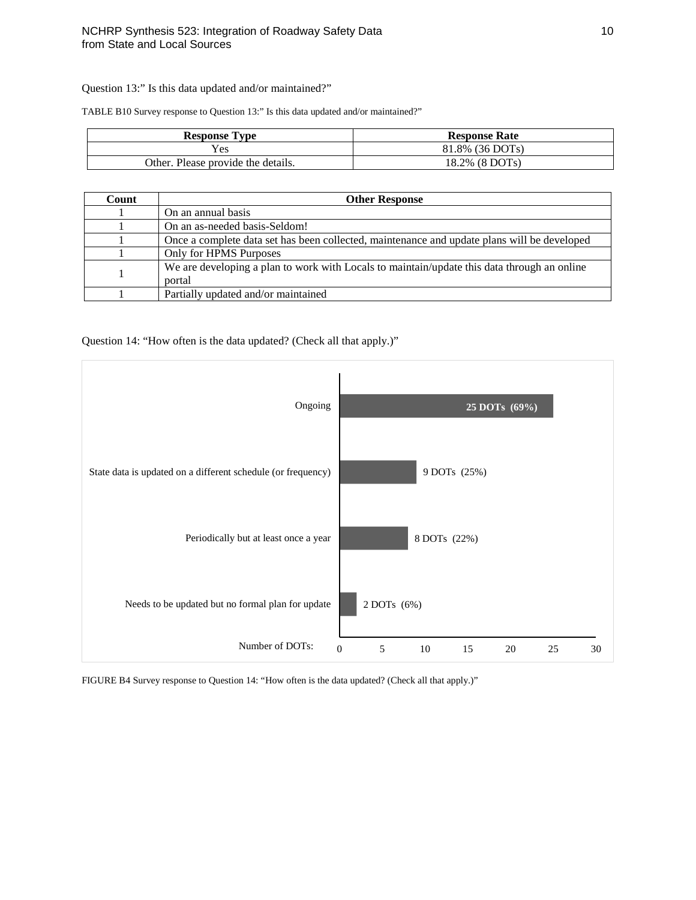Question 13:" Is this data updated and/or maintained?"

TABLE B10 Survey response to Question 13:" Is this data updated and/or maintained?"

| <b>Response Type</b>               | <b>Response Rate</b> |
|------------------------------------|----------------------|
| <b>Yes</b>                         | 81.8% (36 DOTs)      |
| Other. Please provide the details. | 18.2% (8 DOTs)       |

| Count | <b>Other Response</b>                                                                                 |
|-------|-------------------------------------------------------------------------------------------------------|
|       | On an annual basis                                                                                    |
|       | On an as-needed basis-Seldom!                                                                         |
|       | Once a complete data set has been collected, maintenance and update plans will be developed           |
|       | Only for HPMS Purposes                                                                                |
|       | We are developing a plan to work with Locals to maintain/update this data through an online<br>portal |
|       | Partially updated and/or maintained                                                                   |

Question 14: "How often is the data updated? (Check all that apply.)"



FIGURE B4 Survey response to Question 14: "How often is the data updated? (Check all that apply.)"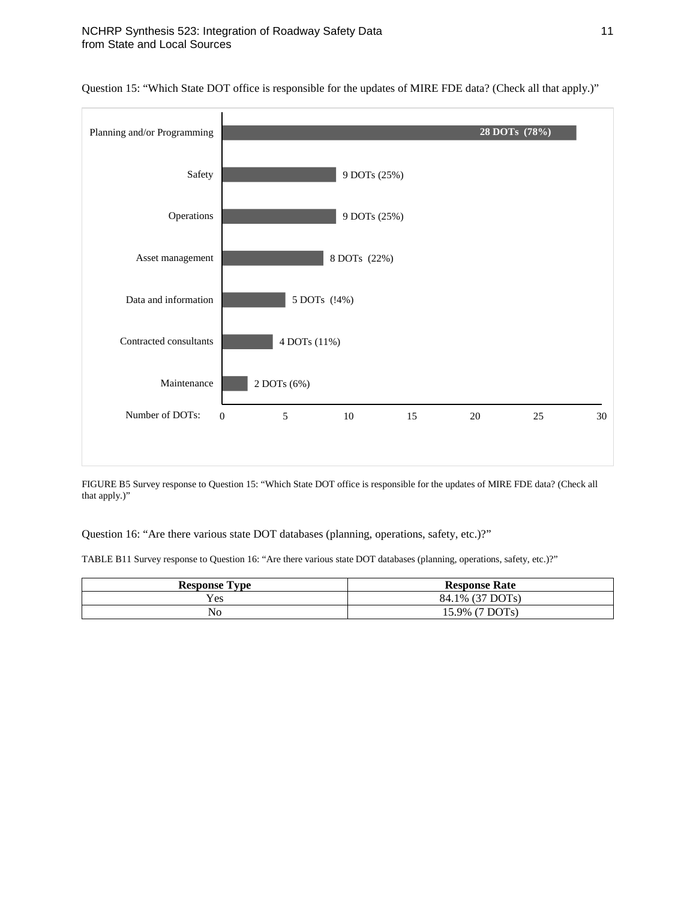

Question 15: "Which State DOT office is responsible for the updates of MIRE FDE data? (Check all that apply.)"

FIGURE B5 Survey response to Question 15: "Which State DOT office is responsible for the updates of MIRE FDE data? (Check all that apply.)"

Question 16: "Are there various state DOT databases (planning, operations, safety, etc.)?"

TABLE B11 Survey response to Question 16: "Are there various state DOT databases (planning, operations, safety, etc.)?"

| <b>Response Type</b> | <b>Response Rate</b> |
|----------------------|----------------------|
| <b>Yes</b>           | 84.1% (37 DOTs)      |
| No                   | 15.9% (7 DOTs)       |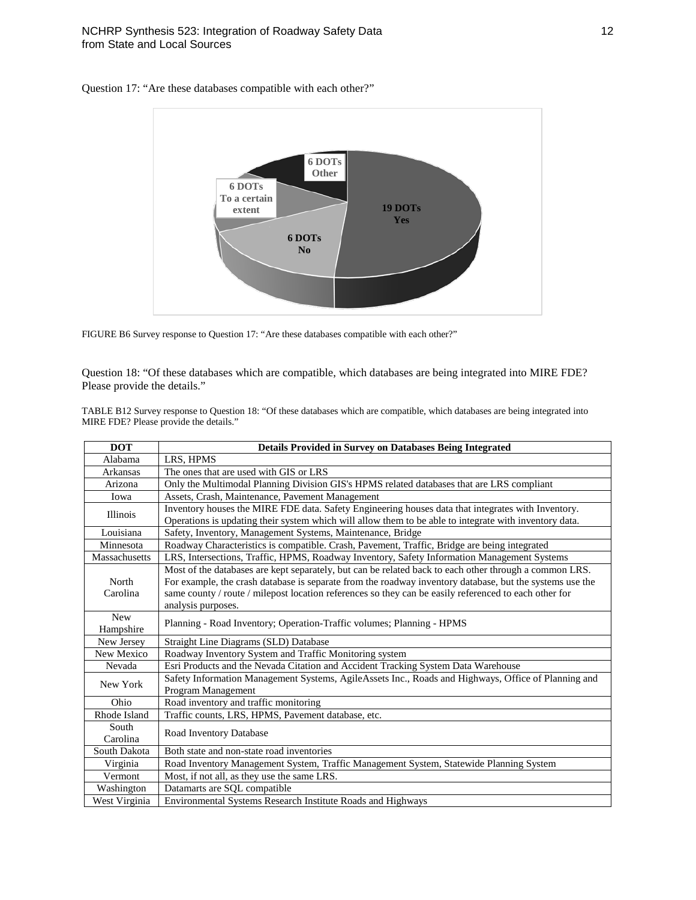

Question 17: "Are these databases compatible with each other?"

FIGURE B6 Survey response to Question 17: "Are these databases compatible with each other?"

Question 18: "Of these databases which are compatible, which databases are being integrated into MIRE FDE? Please provide the details."

TABLE B12 Survey response to Question 18: "Of these databases which are compatible, which databases are being integrated into MIRE FDE? Please provide the details."

| <b>DOT</b>              | <b>Details Provided in Survey on Databases Being Integrated</b>                                                                                                                                                                                                                                                                                   |
|-------------------------|---------------------------------------------------------------------------------------------------------------------------------------------------------------------------------------------------------------------------------------------------------------------------------------------------------------------------------------------------|
| Alabama                 | LRS, HPMS                                                                                                                                                                                                                                                                                                                                         |
| Arkansas                | The ones that are used with GIS or LRS                                                                                                                                                                                                                                                                                                            |
| Arizona                 | Only the Multimodal Planning Division GIS's HPMS related databases that are LRS compliant                                                                                                                                                                                                                                                         |
| Iowa                    | Assets, Crash, Maintenance, Pavement Management                                                                                                                                                                                                                                                                                                   |
| Illinois                | Inventory houses the MIRE FDE data. Safety Engineering houses data that integrates with Inventory.<br>Operations is updating their system which will allow them to be able to integrate with inventory data.                                                                                                                                      |
| Louisiana               | Safety, Inventory, Management Systems, Maintenance, Bridge                                                                                                                                                                                                                                                                                        |
| Minnesota               | Roadway Characteristics is compatible. Crash, Pavement, Traffic, Bridge are being integrated                                                                                                                                                                                                                                                      |
| Massachusetts           | LRS, Intersections, Traffic, HPMS, Roadway Inventory, Safety Information Management Systems                                                                                                                                                                                                                                                       |
| North<br>Carolina       | Most of the databases are kept separately, but can be related back to each other through a common LRS.<br>For example, the crash database is separate from the roadway inventory database, but the systems use the<br>same county / route / milepost location references so they can be easily referenced to each other for<br>analysis purposes. |
| <b>New</b><br>Hampshire | Planning - Road Inventory; Operation-Traffic volumes; Planning - HPMS                                                                                                                                                                                                                                                                             |
| New Jersey              | Straight Line Diagrams (SLD) Database                                                                                                                                                                                                                                                                                                             |
| New Mexico              | Roadway Inventory System and Traffic Monitoring system                                                                                                                                                                                                                                                                                            |
| Nevada                  | Esri Products and the Nevada Citation and Accident Tracking System Data Warehouse                                                                                                                                                                                                                                                                 |
| New York                | Safety Information Management Systems, AgileAssets Inc., Roads and Highways, Office of Planning and<br>Program Management                                                                                                                                                                                                                         |
| Ohio                    | Road inventory and traffic monitoring                                                                                                                                                                                                                                                                                                             |
| Rhode Island            | Traffic counts, LRS, HPMS, Pavement database, etc.                                                                                                                                                                                                                                                                                                |
| South<br>Carolina       | Road Inventory Database                                                                                                                                                                                                                                                                                                                           |
| South Dakota            | Both state and non-state road inventories                                                                                                                                                                                                                                                                                                         |
| Virginia                | Road Inventory Management System, Traffic Management System, Statewide Planning System                                                                                                                                                                                                                                                            |
| Vermont                 | Most, if not all, as they use the same LRS.                                                                                                                                                                                                                                                                                                       |
| Washington              | Datamarts are SQL compatible                                                                                                                                                                                                                                                                                                                      |
| West Virginia           | Environmental Systems Research Institute Roads and Highways                                                                                                                                                                                                                                                                                       |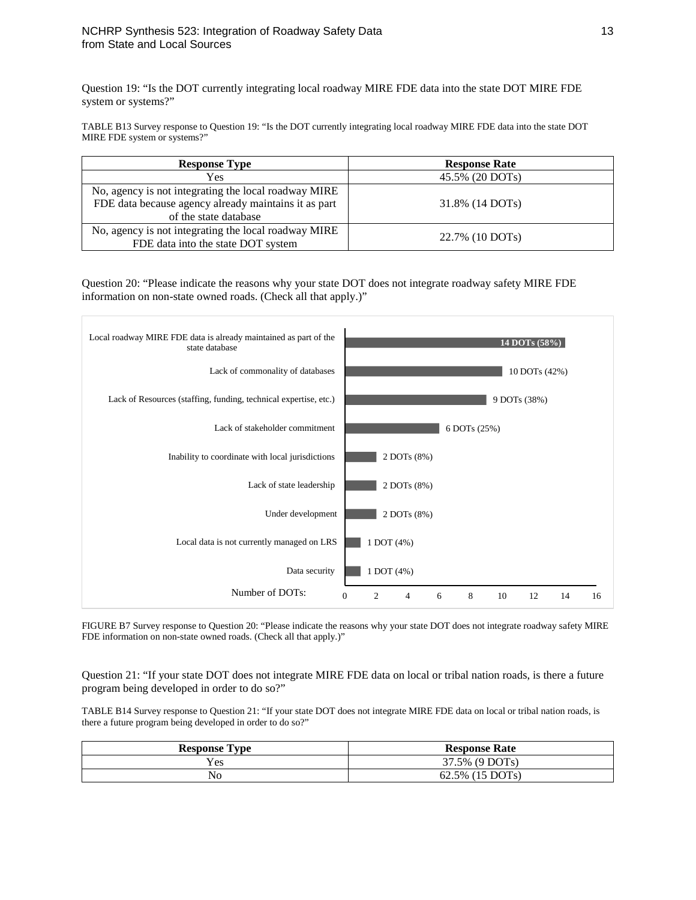Question 19: "Is the DOT currently integrating local roadway MIRE FDE data into the state DOT MIRE FDE system or systems?"

TABLE B13 Survey response to Question 19: "Is the DOT currently integrating local roadway MIRE FDE data into the state DOT MIRE FDE system or systems?"

| <b>Response Type</b>                                 | <b>Response Rate</b> |
|------------------------------------------------------|----------------------|
| Yes                                                  | 45.5% (20 DOTs)      |
| No, agency is not integrating the local roadway MIRE |                      |
| FDE data because agency already maintains it as part | 31.8% (14 DOTs)      |
| of the state database                                |                      |
| No, agency is not integrating the local roadway MIRE | 22.7% (10 DOTs)      |
| FDE data into the state DOT system                   |                      |

Question 20: "Please indicate the reasons why your state DOT does not integrate roadway safety MIRE FDE information on non-state owned roads. (Check all that apply.)"



FIGURE B7 Survey response to Question 20: "Please indicate the reasons why your state DOT does not integrate roadway safety MIRE FDE information on non-state owned roads. (Check all that apply.)"

Question 21: "If your state DOT does not integrate MIRE FDE data on local or tribal nation roads, is there a future program being developed in order to do so?"

TABLE B14 Survey response to Question 21: "If your state DOT does not integrate MIRE FDE data on local or tribal nation roads, is there a future program being developed in order to do so?"

| <b>Response Type</b> | <b>Response Rate</b> |
|----------------------|----------------------|
| Yes.                 | 37.5% (9 DOTs)       |
| No                   | 62.5% (15 DOTs)      |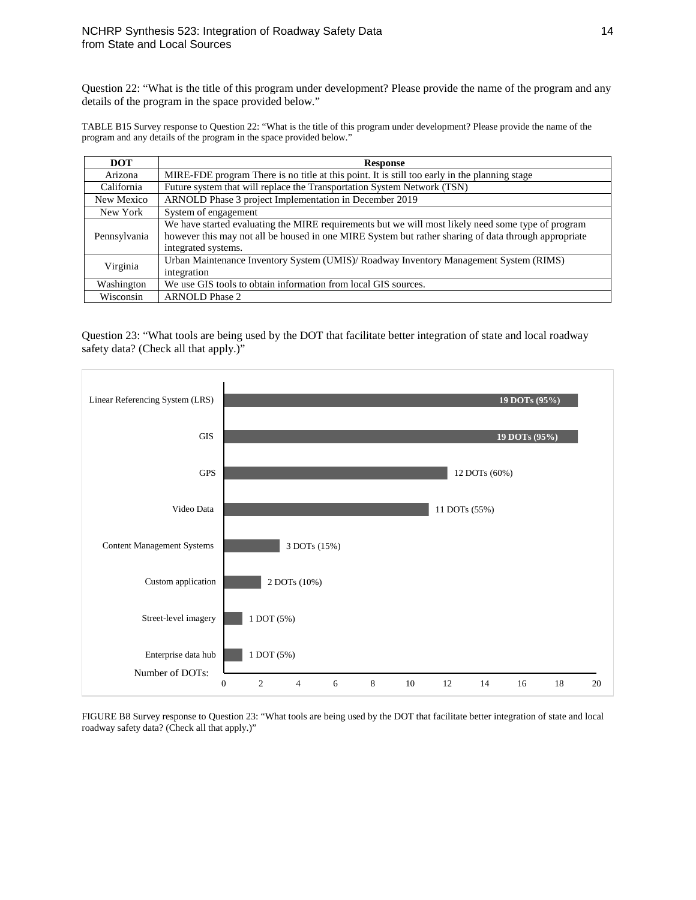Question 22: "What is the title of this program under development? Please provide the name of the program and any details of the program in the space provided below."

TABLE B15 Survey response to Question 22: "What is the title of this program under development? Please provide the name of the program and any details of the program in the space provided below."

| <b>DOT</b>   | <b>Response</b>                                                                                                                                                                                                                   |  |
|--------------|-----------------------------------------------------------------------------------------------------------------------------------------------------------------------------------------------------------------------------------|--|
| Arizona      | MIRE-FDE program There is no title at this point. It is still too early in the planning stage                                                                                                                                     |  |
| California   | Future system that will replace the Transportation System Network (TSN)                                                                                                                                                           |  |
| New Mexico   | ARNOLD Phase 3 project Implementation in December 2019                                                                                                                                                                            |  |
| New York     | System of engagement                                                                                                                                                                                                              |  |
| Pennsylvania | We have started evaluating the MIRE requirements but we will most likely need some type of program<br>however this may not all be housed in one MIRE System but rather sharing of data through appropriate<br>integrated systems. |  |
| Virginia     | Urban Maintenance Inventory System (UMIS)/ Roadway Inventory Management System (RIMS)<br>integration                                                                                                                              |  |
| Washington   | We use GIS tools to obtain information from local GIS sources.                                                                                                                                                                    |  |
| Wisconsin    | <b>ARNOLD Phase 2</b>                                                                                                                                                                                                             |  |

Question 23: "What tools are being used by the DOT that facilitate better integration of state and local roadway safety data? (Check all that apply.)"



FIGURE B8 Survey response to Question 23: "What tools are being used by the DOT that facilitate better integration of state and local roadway safety data? (Check all that apply.)"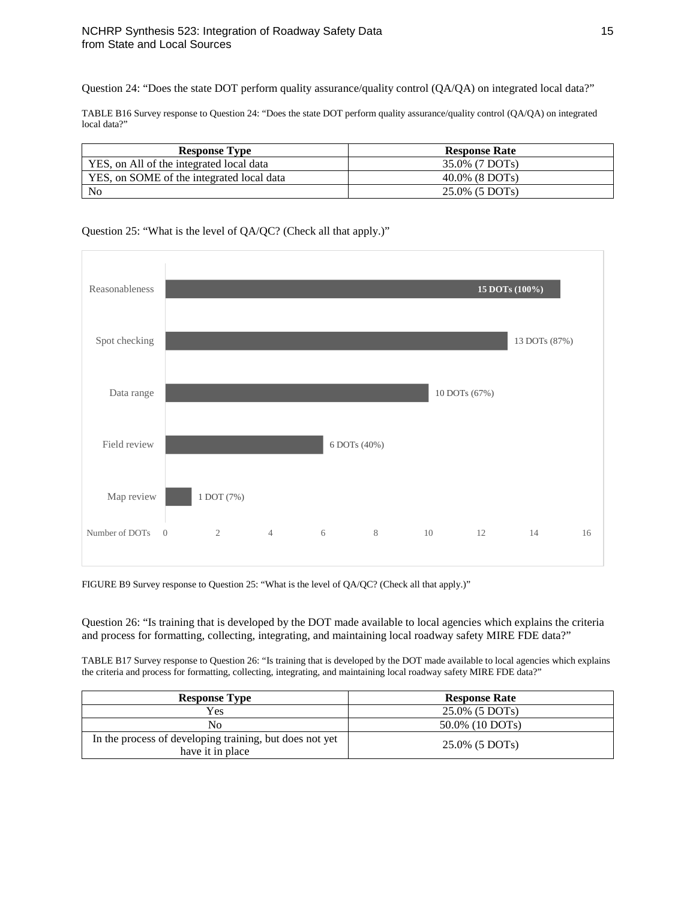Question 24: "Does the state DOT perform quality assurance/quality control (QA/QA) on integrated local data?"

TABLE B16 Survey response to Question 24: "Does the state DOT perform quality assurance/quality control (QA/QA) on integrated local data?"

| <b>Response Type</b>                      | <b>Response Rate</b> |
|-------------------------------------------|----------------------|
| YES, on All of the integrated local data  | 35.0% (7 DOTs)       |
| YES, on SOME of the integrated local data | $40.0\%$ (8 DOTs)    |
| N <sub>0</sub>                            | 25.0% (5 DOTs)       |

### Question 25: "What is the level of QA/QC? (Check all that apply.)"



FIGURE B9 Survey response to Question 25: "What is the level of QA/QC? (Check all that apply.)"

Question 26: "Is training that is developed by the DOT made available to local agencies which explains the criteria and process for formatting, collecting, integrating, and maintaining local roadway safety MIRE FDE data?"

TABLE B17 Survey response to Question 26: "Is training that is developed by the DOT made available to local agencies which explains the criteria and process for formatting, collecting, integrating, and maintaining local roadway safety MIRE FDE data?"

| <b>Response Type</b>                                                        | <b>Response Rate</b> |
|-----------------------------------------------------------------------------|----------------------|
| Yes                                                                         | 25.0% (5 DOTs)       |
| No                                                                          | 50.0% (10 DOTs)      |
| In the process of developing training, but does not yet<br>have it in place | 25.0% (5 DOTs)       |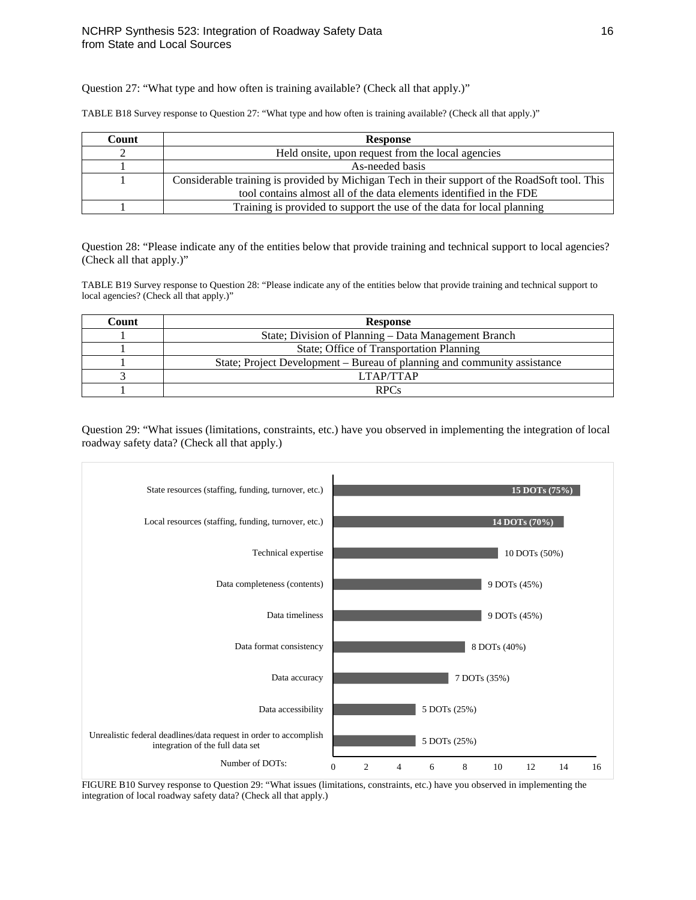Question 27: "What type and how often is training available? (Check all that apply.)"

TABLE B18 Survey response to Question 27: "What type and how often is training available? (Check all that apply.)"

| Count | <b>Response</b>                                                                                |  |
|-------|------------------------------------------------------------------------------------------------|--|
|       | Held onsite, upon request from the local agencies                                              |  |
|       | As-needed basis                                                                                |  |
|       | Considerable training is provided by Michigan Tech in their support of the RoadSoft tool. This |  |
|       | tool contains almost all of the data elements identified in the FDE                            |  |
|       | Training is provided to support the use of the data for local planning                         |  |

Question 28: "Please indicate any of the entities below that provide training and technical support to local agencies? (Check all that apply.)"

TABLE B19 Survey response to Question 28: "Please indicate any of the entities below that provide training and technical support to local agencies? (Check all that apply.)"

| Count | <b>Response</b>                                                          |  |
|-------|--------------------------------------------------------------------------|--|
|       | State; Division of Planning – Data Management Branch                     |  |
|       | State; Office of Transportation Planning                                 |  |
|       | State; Project Development – Bureau of planning and community assistance |  |
|       | LTAP/TTAP                                                                |  |
|       | <b>RPCs</b>                                                              |  |

Question 29: "What issues (limitations, constraints, etc.) have you observed in implementing the integration of local roadway safety data? (Check all that apply.)



FIGURE B10 Survey response to Question 29: "What issues (limitations, constraints, etc.) have you observed in implementing the integration of local roadway safety data? (Check all that apply.)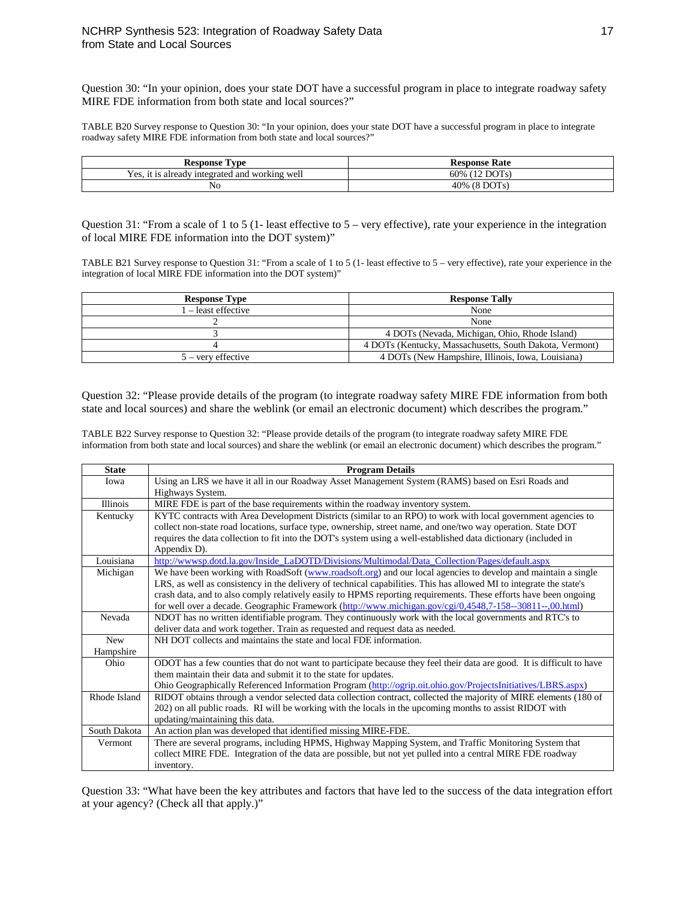Question 30: "In your opinion, does your state DOT have a successful program in place to integrate roadway safety MIRE FDE information from both state and local sources?"

TABLE B20 Survey response to Question 30: "In your opinion, does your state DOT have a successful program in place to integrate roadway safety MIRE FDE information from both state and local sources?"

| Response<br>rv pe                                                       | <b>Response Rate</b>              |
|-------------------------------------------------------------------------|-----------------------------------|
| $ -$<br>' working well<br>untegrated and<br>Y es.<br>already<br>-11. IS | <b>DOTs</b><br>60%<br>$1^{\circ}$ |
| No                                                                      | DOT <sub>s</sub><br>40%<br>Ω      |

Question 31: "From a scale of 1 to 5 (1- least effective to 5 – very effective), rate your experience in the integration of local MIRE FDE information into the DOT system)"

TABLE B21 Survey response to Question 31: "From a scale of 1 to 5 (1- least effective to 5 – very effective), rate your experience in the integration of local MIRE FDE information into the DOT system)"

| <b>Response Type</b> | <b>Response Tally</b>                                   |
|----------------------|---------------------------------------------------------|
| l – least effective  | None                                                    |
|                      | None                                                    |
|                      | 4 DOTs (Nevada, Michigan, Ohio, Rhode Island)           |
|                      | 4 DOTs (Kentucky, Massachusetts, South Dakota, Vermont) |
| $5 -$ very effective | 4 DOTs (New Hampshire, Illinois, Iowa, Louisiana)       |

Question 32: "Please provide details of the program (to integrate roadway safety MIRE FDE information from both state and local sources) and share the weblink (or email an electronic document) which describes the program."

TABLE B22 Survey response to Question 32: "Please provide details of the program (to integrate roadway safety MIRE FDE information from both state and local sources) and share the weblink (or email an electronic document) which describes the program."

| <b>State</b>            | <b>Program Details</b>                                                                                                                                                                                                                                                                                                                                                                                                                                               |
|-------------------------|----------------------------------------------------------------------------------------------------------------------------------------------------------------------------------------------------------------------------------------------------------------------------------------------------------------------------------------------------------------------------------------------------------------------------------------------------------------------|
| Iowa                    | Using an LRS we have it all in our Roadway Asset Management System (RAMS) based on Esri Roads and<br>Highways System.                                                                                                                                                                                                                                                                                                                                                |
| <b>Illinois</b>         | MIRE FDE is part of the base requirements within the roadway inventory system.                                                                                                                                                                                                                                                                                                                                                                                       |
| Kentucky                | KYTC contracts with Area Development Districts (similar to an RPO) to work with local government agencies to<br>collect non-state road locations, surface type, ownership, street name, and one/two way operation. State DOT<br>requires the data collection to fit into the DOT's system using a well-established data dictionary (included in<br>Appendix D).                                                                                                      |
| Louisiana               | http://wwwsp.dotd.la.gov/Inside_LaDOTD/Divisions/Multimodal/Data_Collection/Pages/default.aspx                                                                                                                                                                                                                                                                                                                                                                       |
| Michigan                | We have been working with RoadSoft (www.roadsoft.org) and our local agencies to develop and maintain a single<br>LRS, as well as consistency in the delivery of technical capabilities. This has allowed MI to integrate the state's<br>crash data, and to also comply relatively easily to HPMS reporting requirements. These efforts have been ongoing<br>for well over a decade. Geographic Framework (http://www.michigan.gov/cgi/0,4548,7-158--30811--,00.html) |
| Nevada                  | NDOT has no written identifiable program. They continuously work with the local governments and RTC's to<br>deliver data and work together. Train as requested and request data as needed.                                                                                                                                                                                                                                                                           |
| <b>New</b><br>Hampshire | NH DOT collects and maintains the state and local FDE information.                                                                                                                                                                                                                                                                                                                                                                                                   |
| Ohio                    | ODOT has a few counties that do not want to participate because they feel their data are good. It is difficult to have<br>them maintain their data and submit it to the state for updates.<br>Ohio Geographically Referenced Information Program (http://ogrip.oit.ohio.gov/ProjectsInitiatives/LBRS.aspx)                                                                                                                                                           |
| Rhode Island            | RIDOT obtains through a vendor selected data collection contract, collected the majority of MIRE elements (180 of<br>202) on all public roads. RI will be working with the locals in the upcoming months to assist RIDOT with<br>updating/maintaining this data.                                                                                                                                                                                                     |
| South Dakota            | An action plan was developed that identified missing MIRE-FDE.                                                                                                                                                                                                                                                                                                                                                                                                       |
| Vermont                 | There are several programs, including HPMS, Highway Mapping System, and Traffic Monitoring System that<br>collect MIRE FDE. Integration of the data are possible, but not yet pulled into a central MIRE FDE roadway<br>inventory.                                                                                                                                                                                                                                   |

Question 33: "What have been the key attributes and factors that have led to the success of the data integration effort at your agency? (Check all that apply.)"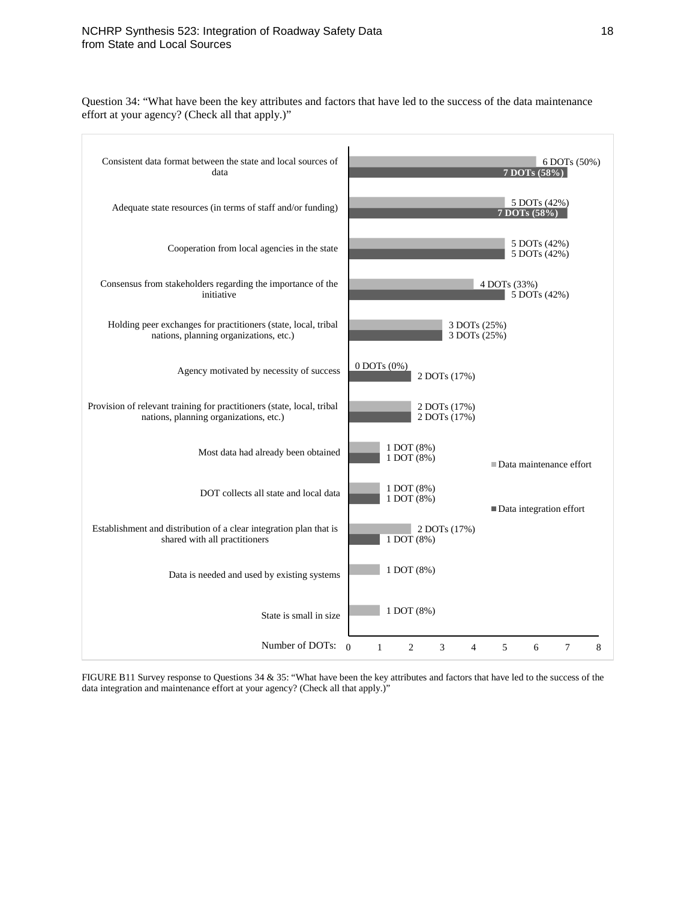Question 34: "What have been the key attributes and factors that have led to the success of the data maintenance effort at your agency? (Check all that apply.)"

| Consistent data format between the state and local sources of<br>data                                            | 6 DOTs (50%)<br>7 DOTs (58%)                                                               |
|------------------------------------------------------------------------------------------------------------------|--------------------------------------------------------------------------------------------|
| Adequate state resources (in terms of staff and/or funding)                                                      | 5 DOTs (42%)<br>7 DOTs (58%)                                                               |
| Cooperation from local agencies in the state                                                                     | 5 DOTs (42%)<br>5 DOTs (42%)                                                               |
| Consensus from stakeholders regarding the importance of the<br>initiative                                        | 4 DOTs (33%)<br>5 DOTs (42%)                                                               |
| Holding peer exchanges for practitioners (state, local, tribal<br>nations, planning organizations, etc.)         | 3 DOTs (25%)<br>3 DOTs (25%)                                                               |
| Agency motivated by necessity of success                                                                         | $0$ DOTs $(0\%)$<br>2 DOTs (17%)                                                           |
| Provision of relevant training for practitioners (state, local, tribal<br>nations, planning organizations, etc.) | 2 DOTs (17%)<br>2 DOTs (17%)                                                               |
| Most data had already been obtained                                                                              | 1 DOT (8%)<br>1 DOT (8%)<br>■ Data maintenance effort                                      |
| DOT collects all state and local data                                                                            | 1 DOT (8%)<br>1 DOT (8%)<br>Data integration effort                                        |
| Establishment and distribution of a clear integration plan that is<br>shared with all practitioners              | 2 DOTs (17%)<br>1 DOT (8%)                                                                 |
| Data is needed and used by existing systems                                                                      | 1 DOT (8%)                                                                                 |
| State is small in size                                                                                           | 1 DOT (8%)                                                                                 |
| Number of DOTs:                                                                                                  | $\Omega$<br>$\overline{c}$<br>3<br>5<br>$\mathbf{1}$<br>6<br>$\tau$<br>8<br>$\overline{4}$ |

FIGURE B11 Survey response to Questions 34 & 35: "What have been the key attributes and factors that have led to the success of the data integration and maintenance effort at your agency? (Check all that apply.)"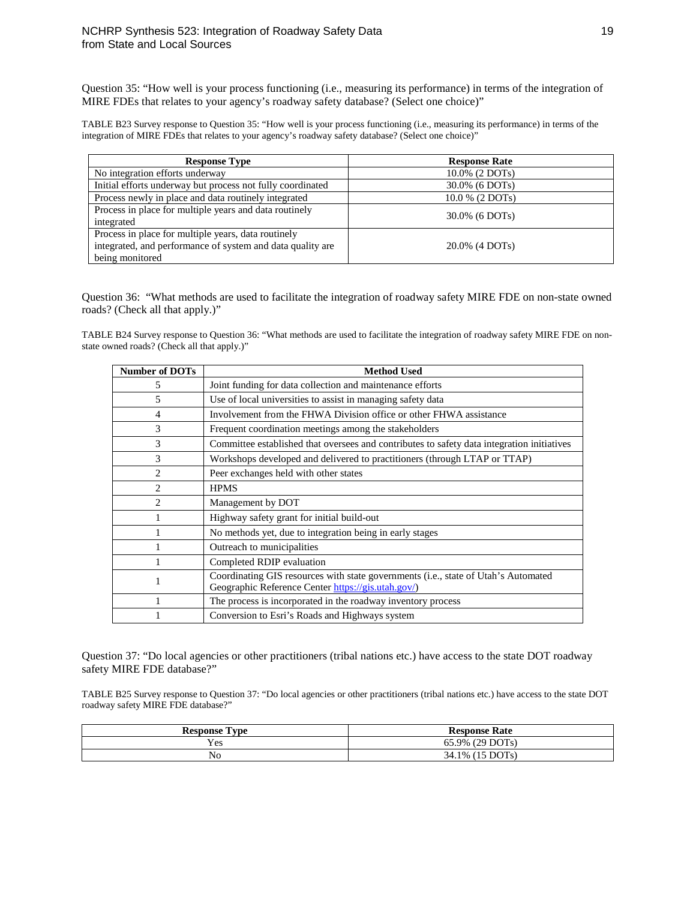Question 35: "How well is your process functioning (i.e., measuring its performance) in terms of the integration of MIRE FDEs that relates to your agency's roadway safety database? (Select one choice)"

TABLE B23 Survey response to Question 35: "How well is your process functioning (i.e., measuring its performance) in terms of the integration of MIRE FDEs that relates to your agency's roadway safety database? (Select one choice)"

| <b>Response Type</b>                                                                                                                 | <b>Response Rate</b> |
|--------------------------------------------------------------------------------------------------------------------------------------|----------------------|
| No integration efforts underway                                                                                                      | $10.0\%$ (2 DOTs)    |
| Initial efforts underway but process not fully coordinated<br>30.0% (6 DOTs)                                                         |                      |
| Process newly in place and data routinely integrated                                                                                 | $10.0\%$ (2 DOTs)    |
| Process in place for multiple years and data routinely<br>integrated                                                                 | 30.0% (6 DOTs)       |
| Process in place for multiple years, data routinely<br>integrated, and performance of system and data quality are<br>being monitored | $20.0\%$ (4 DOTs)    |

Question 36: "What methods are used to facilitate the integration of roadway safety MIRE FDE on non-state owned roads? (Check all that apply.)"

TABLE B24 Survey response to Question 36: "What methods are used to facilitate the integration of roadway safety MIRE FDE on nonstate owned roads? (Check all that apply.)"

| <b>Number of DOTs</b> | <b>Method Used</b>                                                                                                                       |
|-----------------------|------------------------------------------------------------------------------------------------------------------------------------------|
| 5                     | Joint funding for data collection and maintenance efforts                                                                                |
| 5                     | Use of local universities to assist in managing safety data                                                                              |
| 4                     | Involvement from the FHWA Division office or other FHWA assistance                                                                       |
| 3                     | Frequent coordination meetings among the stakeholders                                                                                    |
| 3                     | Committee established that oversees and contributes to safety data integration initiatives                                               |
| 3                     | Workshops developed and delivered to practitioners (through LTAP or TTAP)                                                                |
| 2                     | Peer exchanges held with other states                                                                                                    |
| 2                     | <b>HPMS</b>                                                                                                                              |
| 2                     | Management by DOT                                                                                                                        |
|                       | Highway safety grant for initial build-out                                                                                               |
|                       | No methods yet, due to integration being in early stages                                                                                 |
|                       | Outreach to municipalities                                                                                                               |
|                       | Completed RDIP evaluation                                                                                                                |
| 1                     | Coordinating GIS resources with state governments (i.e., state of Utah's Automated<br>Geographic Reference Center https://gis.utah.gov/) |
|                       | The process is incorporated in the roadway inventory process                                                                             |
|                       | Conversion to Esri's Roads and Highways system                                                                                           |

Question 37: "Do local agencies or other practitioners (tribal nations etc.) have access to the state DOT roadway safety MIRE FDE database?"

TABLE B25 Survey response to Question 37: "Do local agencies or other practitioners (tribal nations etc.) have access to the state DOT roadway safety MIRE FDE database?"

| l'vne<br>Response | <b>Response Rate</b> |
|-------------------|----------------------|
| Yes               | 65.9% (29 DOTs)      |
| No                | (15 DOTs)<br>34.1%   |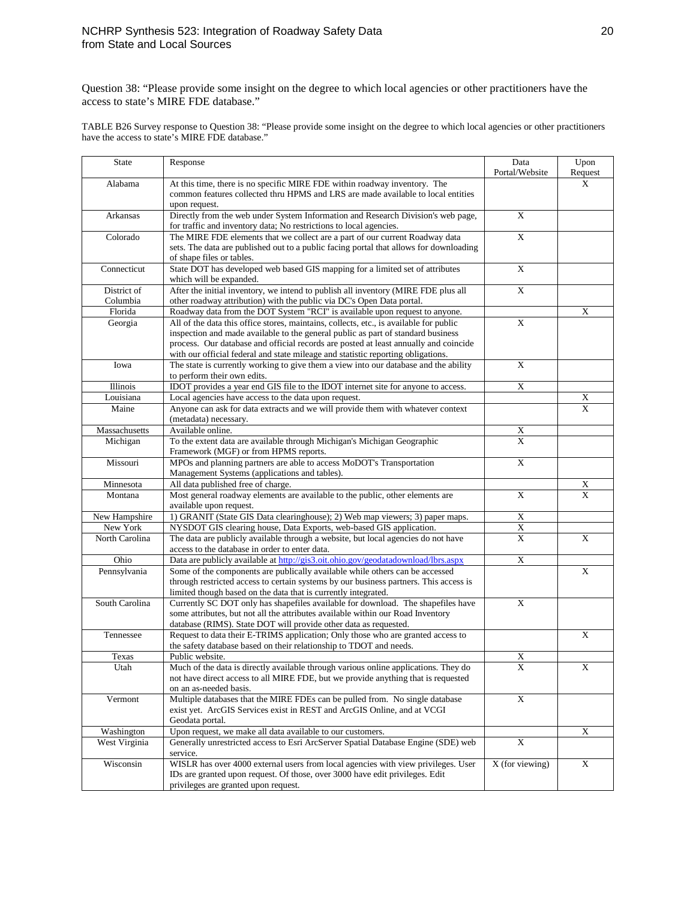Question 38: "Please provide some insight on the degree to which local agencies or other practitioners have the access to state's MIRE FDE database."

TABLE B26 Survey response to Question 38: "Please provide some insight on the degree to which local agencies or other practitioners have the access to state's MIRE FDE database."

| <b>State</b>   | Response                                                                                                                                                            | Data<br>Portal/Website       | Upon                    |
|----------------|---------------------------------------------------------------------------------------------------------------------------------------------------------------------|------------------------------|-------------------------|
| Alabama        | At this time, there is no specific MIRE FDE within roadway inventory. The                                                                                           |                              | Request<br>X            |
|                | common features collected thru HPMS and LRS are made available to local entities                                                                                    |                              |                         |
|                | upon request.                                                                                                                                                       |                              |                         |
| Arkansas       | Directly from the web under System Information and Research Division's web page,<br>for traffic and inventory data; No restrictions to local agencies.              | X                            |                         |
| Colorado       | The MIRE FDE elements that we collect are a part of our current Roadway data                                                                                        | $\overline{X}$               |                         |
|                | sets. The data are published out to a public facing portal that allows for downloading                                                                              |                              |                         |
|                | of shape files or tables.                                                                                                                                           |                              |                         |
| Connecticut    | State DOT has developed web based GIS mapping for a limited set of attributes<br>which will be expanded.                                                            | $\mathbf X$                  |                         |
| District of    | After the initial inventory, we intend to publish all inventory (MIRE FDE plus all                                                                                  | $\mathbf X$                  |                         |
| Columbia       | other roadway attribution) with the public via DC's Open Data portal.                                                                                               |                              |                         |
| Florida        | Roadway data from the DOT System "RCI" is available upon request to anyone.                                                                                         |                              | $\mathbf X$             |
| Georgia        | All of the data this office stores, maintains, collects, etc., is available for public                                                                              | $\mathbf X$                  |                         |
|                | inspection and made available to the general public as part of standard business                                                                                    |                              |                         |
|                | process. Our database and official records are posted at least annually and coincide                                                                                |                              |                         |
|                | with our official federal and state mileage and statistic reporting obligations.                                                                                    |                              |                         |
| Iowa           | The state is currently working to give them a view into our database and the ability                                                                                | X                            |                         |
|                | to perform their own edits.                                                                                                                                         |                              |                         |
| Illinois       | IDOT provides a year end GIS file to the IDOT internet site for anyone to access.                                                                                   | $\mathbf X$                  |                         |
| Louisiana      | Local agencies have access to the data upon request.                                                                                                                |                              | X                       |
| Maine          | Anyone can ask for data extracts and we will provide them with whatever context<br>(metadata) necessary.                                                            |                              | $\mathbf{x}$            |
| Massachusetts  | Available online.                                                                                                                                                   |                              |                         |
| Michigan       | To the extent data are available through Michigan's Michigan Geographic                                                                                             | X<br>$\overline{\mathbf{X}}$ |                         |
|                | Framework (MGF) or from HPMS reports.                                                                                                                               |                              |                         |
| Missouri       | MPOs and planning partners are able to access MoDOT's Transportation                                                                                                | $\overline{\mathbf{X}}$      |                         |
|                | Management Systems (applications and tables).                                                                                                                       |                              |                         |
| Minnesota      | All data published free of charge.                                                                                                                                  |                              | X                       |
| Montana        | Most general roadway elements are available to the public, other elements are                                                                                       | $\overline{X}$               | X                       |
|                | available upon request.                                                                                                                                             |                              |                         |
| New Hampshire  | 1) GRANIT (State GIS Data clearinghouse); 2) Web map viewers; 3) paper maps.                                                                                        | $\overline{\textbf{X}}$      |                         |
| New York       | NYSDOT GIS clearing house, Data Exports, web-based GIS application.                                                                                                 | $\overline{\textbf{X}}$      |                         |
| North Carolina | The data are publicly available through a website, but local agencies do not have                                                                                   | $\mathbf X$                  | X                       |
|                | access to the database in order to enter data.                                                                                                                      |                              |                         |
| Ohio           | Data are publicly available at http://gis3.oit.ohio.gov/geodatadownload/lbrs.aspx                                                                                   | $\mathbf X$                  |                         |
| Pennsylvania   | Some of the components are publically available while others can be accessed                                                                                        |                              | $\overline{\mathrm{X}}$ |
|                | through restricted access to certain systems by our business partners. This access is                                                                               |                              |                         |
|                | limited though based on the data that is currently integrated.                                                                                                      |                              |                         |
| South Carolina | Currently SC DOT only has shapefiles available for download. The shapefiles have<br>some attributes, but not all the attributes available within our Road Inventory | $\mathbf X$                  |                         |
|                | database (RIMS). State DOT will provide other data as requested.                                                                                                    |                              |                         |
| Tennessee      | Request to data their E-TRIMS application; Only those who are granted access to                                                                                     |                              | X                       |
|                | the safety database based on their relationship to TDOT and needs.                                                                                                  |                              |                         |
| Texas          | Public website.                                                                                                                                                     | X                            |                         |
| Utah           | Much of the data is directly available through various online applications. They do                                                                                 | $\overline{X}$               | X                       |
|                | not have direct access to all MIRE FDE, but we provide anything that is requested                                                                                   |                              |                         |
|                | on an as-needed basis.                                                                                                                                              |                              |                         |
| Vermont        | Multiple databases that the MIRE FDEs can be pulled from. No single database                                                                                        | $\mathbf X$                  |                         |
|                | exist yet. ArcGIS Services exist in REST and ArcGIS Online, and at VCGI                                                                                             |                              |                         |
|                | Geodata portal.                                                                                                                                                     |                              |                         |
| Washington     | Upon request, we make all data available to our customers.                                                                                                          |                              | $\mathbf X$             |
| West Virginia  | Generally unrestricted access to Esri ArcServer Spatial Database Engine (SDE) web                                                                                   | $\overline{X}$               |                         |
|                | service.                                                                                                                                                            |                              |                         |
| Wisconsin      | WISLR has over 4000 external users from local agencies with view privileges. User                                                                                   | X (for viewing)              | $\mathbf X$             |
|                | IDs are granted upon request. Of those, over 3000 have edit privileges. Edit                                                                                        |                              |                         |
|                | privileges are granted upon request.                                                                                                                                |                              |                         |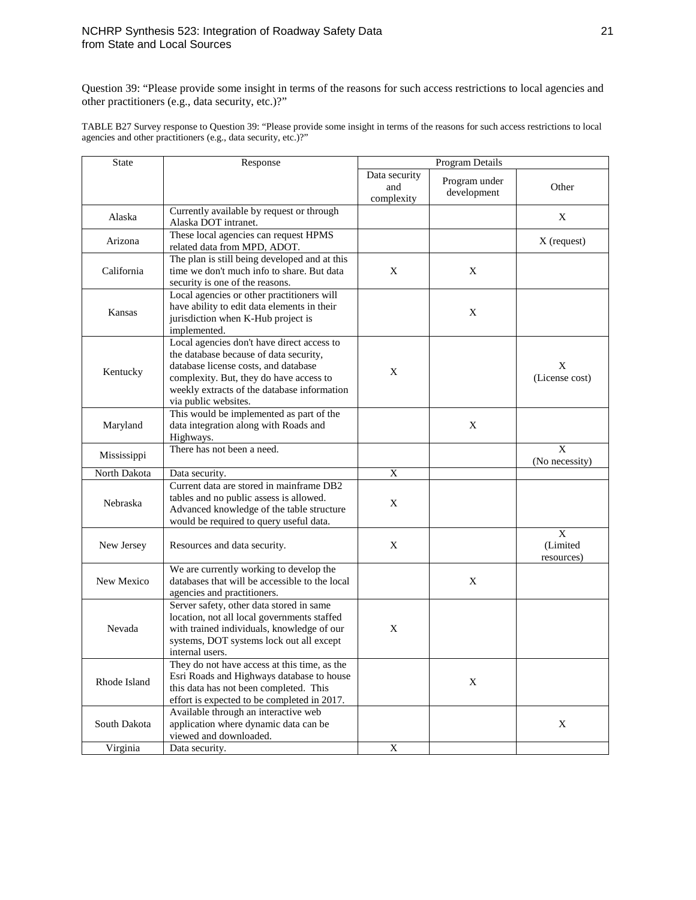Question 39: "Please provide some insight in terms of the reasons for such access restrictions to local agencies and other practitioners (e.g., data security, etc.)?"

TABLE B27 Survey response to Question 39: "Please provide some insight in terms of the reasons for such access restrictions to local agencies and other practitioners (e.g., data security, etc.)?"

| <b>State</b> | Response                                                                                                                                                                                                                                       | Program Details                    |                              |                             |
|--------------|------------------------------------------------------------------------------------------------------------------------------------------------------------------------------------------------------------------------------------------------|------------------------------------|------------------------------|-----------------------------|
|              |                                                                                                                                                                                                                                                | Data security<br>and<br>complexity | Program under<br>development | Other                       |
| Alaska       | Currently available by request or through<br>Alaska DOT intranet.                                                                                                                                                                              |                                    |                              | X                           |
| Arizona      | These local agencies can request HPMS<br>related data from MPD, ADOT.                                                                                                                                                                          |                                    |                              | X (request)                 |
| California   | The plan is still being developed and at this<br>time we don't much info to share. But data<br>security is one of the reasons.                                                                                                                 | X                                  | X                            |                             |
| Kansas       | Local agencies or other practitioners will<br>have ability to edit data elements in their<br>jurisdiction when K-Hub project is<br>implemented.                                                                                                |                                    | X                            |                             |
| Kentucky     | Local agencies don't have direct access to<br>the database because of data security,<br>database license costs, and database<br>complexity. But, they do have access to<br>weekly extracts of the database information<br>via public websites. | X                                  |                              | X<br>(License cost)         |
| Maryland     | This would be implemented as part of the<br>data integration along with Roads and<br>Highways.                                                                                                                                                 |                                    | X                            |                             |
| Mississippi  | There has not been a need.                                                                                                                                                                                                                     |                                    |                              | X<br>(No necessity)         |
| North Dakota | Data security.                                                                                                                                                                                                                                 | $\mathbf X$                        |                              |                             |
| Nebraska     | Current data are stored in mainframe DB2<br>tables and no public assess is allowed.<br>Advanced knowledge of the table structure<br>would be required to query useful data.                                                                    | X                                  |                              |                             |
| New Jersey   | Resources and data security.                                                                                                                                                                                                                   | X                                  |                              | X<br>(Limited<br>resources) |
| New Mexico   | We are currently working to develop the<br>databases that will be accessible to the local<br>agencies and practitioners.                                                                                                                       |                                    | X                            |                             |
| Nevada       | Server safety, other data stored in same<br>location, not all local governments staffed<br>with trained individuals, knowledge of our<br>systems, DOT systems lock out all except<br>internal users.                                           | X                                  |                              |                             |
| Rhode Island | They do not have access at this time, as the<br>Esri Roads and Highways database to house<br>this data has not been completed. This<br>effort is expected to be completed in 2017.                                                             |                                    | X                            |                             |
| South Dakota | Available through an interactive web<br>application where dynamic data can be<br>viewed and downloaded.                                                                                                                                        |                                    |                              | $\mathbf X$                 |
| Virginia     | Data security.                                                                                                                                                                                                                                 | $\mathbf X$                        |                              |                             |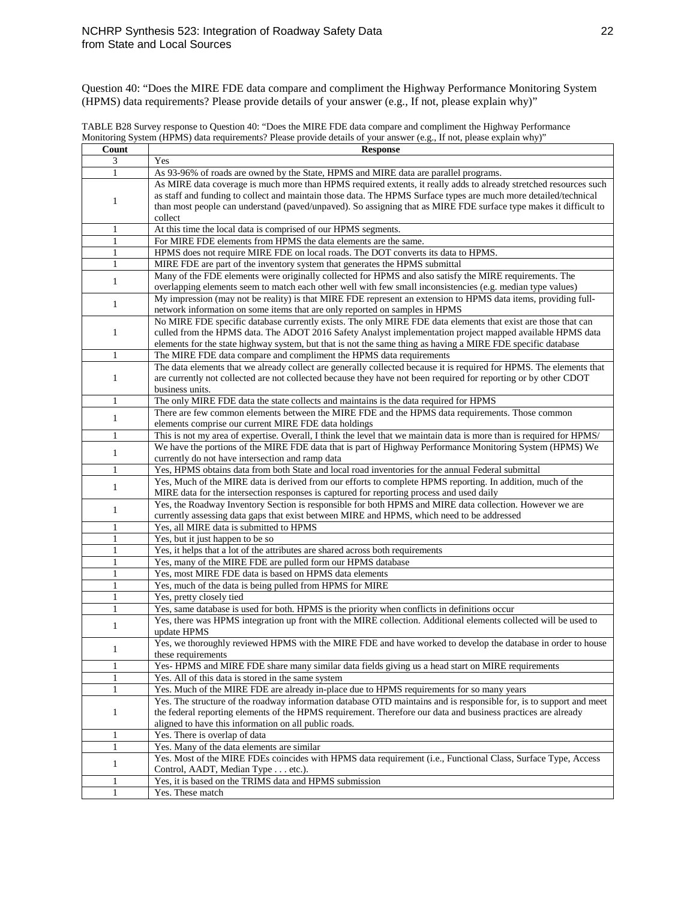Question 40: "Does the MIRE FDE data compare and compliment the Highway Performance Monitoring System (HPMS) data requirements? Please provide details of your answer (e.g., If not, please explain why)"

TABLE B28 Survey response to Question 40: "Does the MIRE FDE data compare and compliment the Highway Performance Monitoring System (HPMS) data requirements? Please provide details of your answer (e.g., If not, please explain why)"

| Count        | <b>Response</b>                                                                                                       |
|--------------|-----------------------------------------------------------------------------------------------------------------------|
| 3            | Yes                                                                                                                   |
| 1            | As 93-96% of roads are owned by the State, HPMS and MIRE data are parallel programs.                                  |
|              | As MIRE data coverage is much more than HPMS required extents, it really adds to already stretched resources such     |
|              | as staff and funding to collect and maintain those data. The HPMS Surface types are much more detailed/technical      |
| 1            | than most people can understand (paved/unpaved). So assigning that as MIRE FDE surface type makes it difficult to     |
|              | collect                                                                                                               |
| 1            | At this time the local data is comprised of our HPMS segments.                                                        |
|              | For MIRE FDE elements from HPMS the data elements are the same.                                                       |
| $\mathbf{1}$ |                                                                                                                       |
| 1            | HPMS does not require MIRE FDE on local roads. The DOT converts its data to HPMS.                                     |
| 1            | MIRE FDE are part of the inventory system that generates the HPMS submittal                                           |
| $\mathbf{1}$ | Many of the FDE elements were originally collected for HPMS and also satisfy the MIRE requirements. The               |
|              | overlapping elements seem to match each other well with few small inconsistencies (e.g. median type values)           |
|              | My impression (may not be reality) is that MIRE FDE represent an extension to HPMS data items, providing full-        |
| 1            | network information on some items that are only reported on samples in HPMS                                           |
|              | No MIRE FDE specific database currently exists. The only MIRE FDE data elements that exist are those that can         |
| $\mathbf{1}$ | culled from the HPMS data. The ADOT 2016 Safety Analyst implementation project mapped available HPMS data             |
|              | elements for the state highway system, but that is not the same thing as having a MIRE FDE specific database          |
| $\mathbf{1}$ | The MIRE FDE data compare and compliment the HPMS data requirements                                                   |
|              | The data elements that we already collect are generally collected because it is required for HPMS. The elements that  |
| 1            | are currently not collected are not collected because they have not been required for reporting or by other CDOT      |
|              | business units.                                                                                                       |
|              |                                                                                                                       |
| 1            | The only MIRE FDE data the state collects and maintains is the data required for HPMS                                 |
| 1            | There are few common elements between the MIRE FDE and the HPMS data requirements. Those common                       |
|              | elements comprise our current MIRE FDE data holdings                                                                  |
| $\mathbf{1}$ | This is not my area of expertise. Overall, I think the level that we maintain data is more than is required for HPMS/ |
| 1            | We have the portions of the MIRE FDE data that is part of Highway Performance Monitoring System (HPMS) We             |
|              | currently do not have intersection and ramp data                                                                      |
| 1            | Yes, HPMS obtains data from both State and local road inventories for the annual Federal submittal                    |
|              | Yes, Much of the MIRE data is derived from our efforts to complete HPMS reporting. In addition, much of the           |
| 1            | MIRE data for the intersection responses is captured for reporting process and used daily                             |
|              | Yes, the Roadway Inventory Section is responsible for both HPMS and MIRE data collection. However we are              |
| 1            | currently assessing data gaps that exist between MIRE and HPMS, which need to be addressed                            |
| $\mathbf{1}$ | Yes, all MIRE data is submitted to HPMS                                                                               |
| 1            | Yes, but it just happen to be so                                                                                      |
|              |                                                                                                                       |
| 1            | Yes, it helps that a lot of the attributes are shared across both requirements                                        |
| 1            | Yes, many of the MIRE FDE are pulled form our HPMS database                                                           |
| 1            | Yes, most MIRE FDE data is based on HPMS data elements                                                                |
| $\mathbf{1}$ | Yes, much of the data is being pulled from HPMS for MIRE                                                              |
| 1            | Yes, pretty closely tied                                                                                              |
| 1            | Yes, same database is used for both. HPMS is the priority when conflicts in definitions occur                         |
| 1            | Yes, there was HPMS integration up front with the MIRE collection. Additional elements collected will be used to      |
|              | update HPMS                                                                                                           |
|              | Yes, we thoroughly reviewed HPMS with the MIRE FDE and have worked to develop the database in order to house          |
| $\mathbf{1}$ | these requirements                                                                                                    |
| 1            | Yes-HPMS and MIRE FDE share many similar data fields giving us a head start on MIRE requirements                      |
| 1            | Yes. All of this data is stored in the same system                                                                    |
| $\mathbf{1}$ | Yes. Much of the MIRE FDE are already in-place due to HPMS requirements for so many years                             |
|              | Yes. The structure of the roadway information database OTD maintains and is responsible for, is to support and meet   |
|              | the federal reporting elements of the HPMS requirement. Therefore our data and business practices are already         |
| 1            |                                                                                                                       |
|              | aligned to have this information on all public roads.                                                                 |
| 1            | Yes. There is overlap of data                                                                                         |
| 1            | Yes. Many of the data elements are similar                                                                            |
| 1            | Yes. Most of the MIRE FDEs coincides with HPMS data requirement (i.e., Functional Class, Surface Type, Access         |
|              | Control, AADT, Median Type etc.).                                                                                     |
| 1            | Yes, it is based on the TRIMS data and HPMS submission                                                                |
| 1            | Yes. These match                                                                                                      |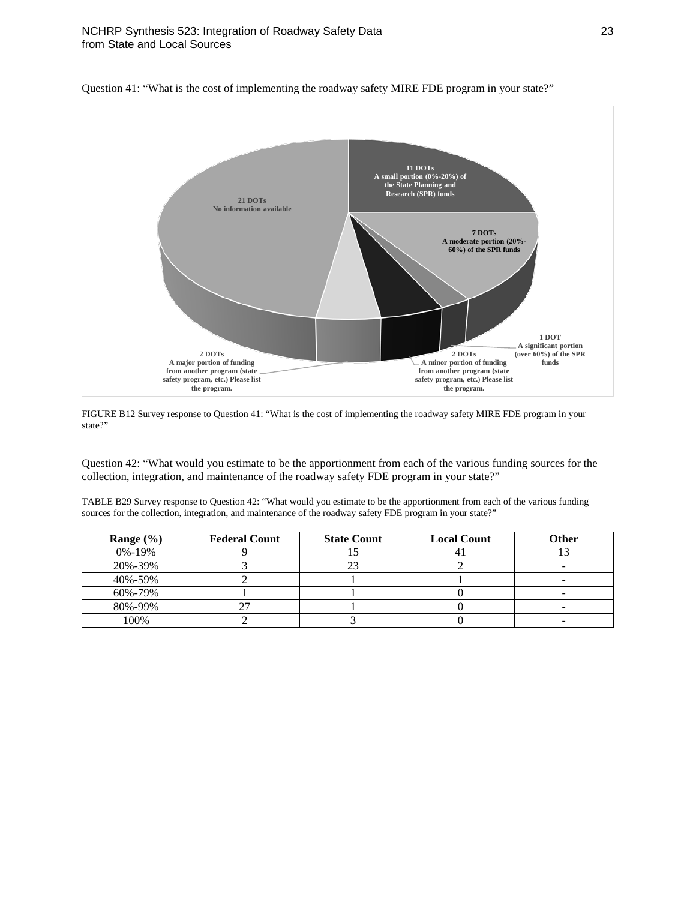

Question 41: "What is the cost of implementing the roadway safety MIRE FDE program in your state?"

FIGURE B12 Survey response to Question 41: "What is the cost of implementing the roadway safety MIRE FDE program in your state?"

Question 42: "What would you estimate to be the apportionment from each of the various funding sources for the collection, integration, and maintenance of the roadway safety FDE program in your state?"

TABLE B29 Survey response to Question 42: "What would you estimate to be the apportionment from each of the various funding sources for the collection, integration, and maintenance of the roadway safety FDE program in your state?"

| Range $(\% )$ | <b>Federal Count</b> | <b>State Count</b> | <b>Local Count</b> | Other |
|---------------|----------------------|--------------------|--------------------|-------|
| $0\% - 19\%$  |                      |                    |                    |       |
| 20%-39%       |                      | 23                 |                    |       |
| 40%-59%       |                      |                    |                    |       |
| 60%-79%       |                      |                    |                    |       |
| 80%-99%       |                      |                    |                    |       |
| 100%          |                      |                    |                    |       |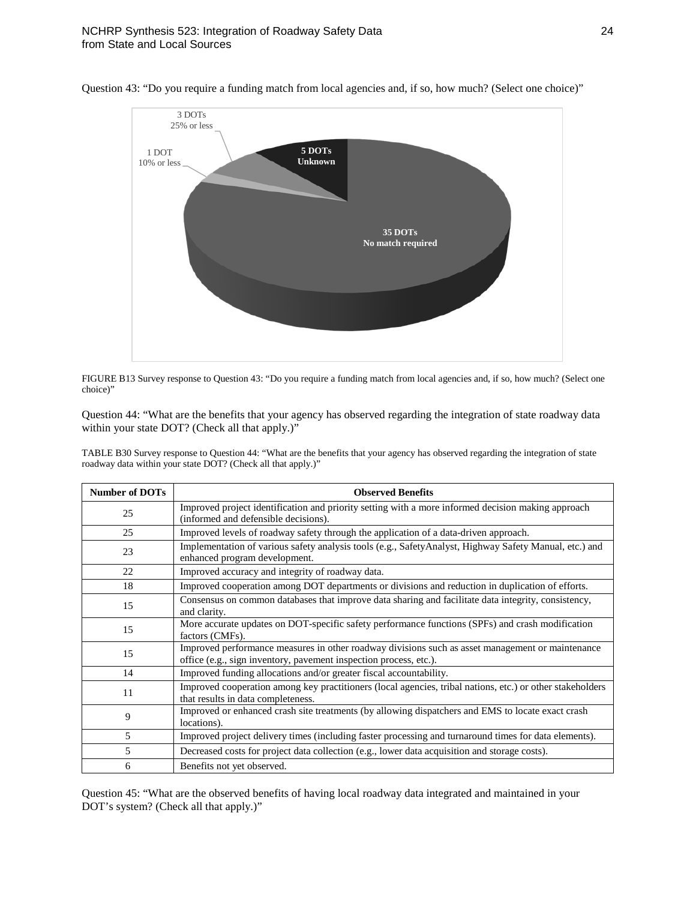

Question 43: "Do you require a funding match from local agencies and, if so, how much? (Select one choice)"

FIGURE B13 Survey response to Question 43: "Do you require a funding match from local agencies and, if so, how much? (Select one choice)"

Question 44: "What are the benefits that your agency has observed regarding the integration of state roadway data within your state DOT? (Check all that apply.)"

TABLE B30 Survey response to Question 44: "What are the benefits that your agency has observed regarding the integration of state roadway data within your state DOT? (Check all that apply.)"

| <b>Number of DOTs</b> | <b>Observed Benefits</b>                                                                                                                                              |
|-----------------------|-----------------------------------------------------------------------------------------------------------------------------------------------------------------------|
| 25                    | Improved project identification and priority setting with a more informed decision making approach<br>(informed and defensible decisions).                            |
| 25                    | Improved levels of roadway safety through the application of a data-driven approach.                                                                                  |
| 23                    | Implementation of various safety analysis tools (e.g., SafetyAnalyst, Highway Safety Manual, etc.) and<br>enhanced program development.                               |
| 22                    | Improved accuracy and integrity of roadway data.                                                                                                                      |
| 18                    | Improved cooperation among DOT departments or divisions and reduction in duplication of efforts.                                                                      |
| 15                    | Consensus on common databases that improve data sharing and facilitate data integrity, consistency,<br>and clarity.                                                   |
| 15                    | More accurate updates on DOT-specific safety performance functions (SPFs) and crash modification<br>factors (CMFs).                                                   |
| 15                    | Improved performance measures in other roadway divisions such as asset management or maintenance<br>office (e.g., sign inventory, pavement inspection process, etc.). |
| 14                    | Improved funding allocations and/or greater fiscal accountability.                                                                                                    |
| 11                    | Improved cooperation among key practitioners (local agencies, tribal nations, etc.) or other stakeholders<br>that results in data completeness.                       |
| 9                     | Improved or enhanced crash site treatments (by allowing dispatchers and EMS to locate exact crash<br>locations).                                                      |
| $\overline{5}$        | Improved project delivery times (including faster processing and turnaround times for data elements).                                                                 |
| 5                     | Decreased costs for project data collection (e.g., lower data acquisition and storage costs).                                                                         |
| 6                     | Benefits not yet observed.                                                                                                                                            |

Question 45: "What are the observed benefits of having local roadway data integrated and maintained in your DOT's system? (Check all that apply.)"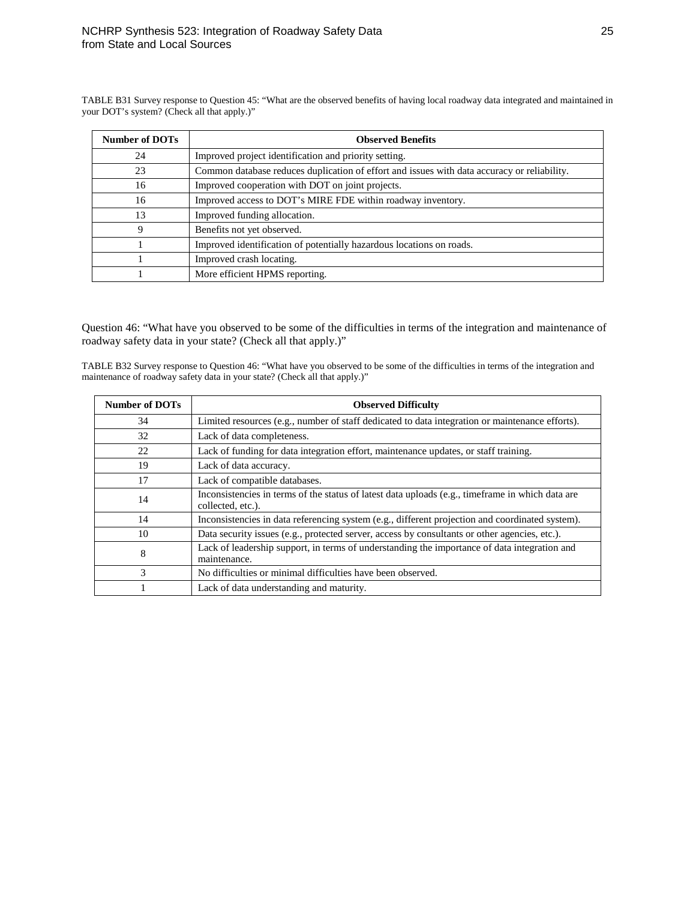TABLE B31 Survey response to Question 45: "What are the observed benefits of having local roadway data integrated and maintained in your DOT's system? (Check all that apply.)"

| <b>Number of DOTs</b> | <b>Observed Benefits</b>                                                                    |
|-----------------------|---------------------------------------------------------------------------------------------|
| 24                    | Improved project identification and priority setting.                                       |
| 23                    | Common database reduces duplication of effort and issues with data accuracy or reliability. |
| 16                    | Improved cooperation with DOT on joint projects.                                            |
| 16                    | Improved access to DOT's MIRE FDE within roadway inventory.                                 |
| 13                    | Improved funding allocation.                                                                |
| 9                     | Benefits not yet observed.                                                                  |
|                       | Improved identification of potentially hazardous locations on roads.                        |
|                       | Improved crash locating.                                                                    |
|                       | More efficient HPMS reporting.                                                              |

Question 46: "What have you observed to be some of the difficulties in terms of the integration and maintenance of roadway safety data in your state? (Check all that apply.)"

TABLE B32 Survey response to Question 46: "What have you observed to be some of the difficulties in terms of the integration and maintenance of roadway safety data in your state? (Check all that apply.)"

| <b>Number of DOTs</b> | <b>Observed Difficulty</b>                                                                                            |
|-----------------------|-----------------------------------------------------------------------------------------------------------------------|
| 34                    | Limited resources (e.g., number of staff dedicated to data integration or maintenance efforts).                       |
| 32                    | Lack of data completeness.                                                                                            |
| 22                    | Lack of funding for data integration effort, maintenance updates, or staff training.                                  |
| 19                    | Lack of data accuracy.                                                                                                |
| 17                    | Lack of compatible databases.                                                                                         |
| 14                    | Inconsistencies in terms of the status of latest data uploads (e.g., timeframe in which data are<br>collected, etc.). |
| 14                    | Inconsistencies in data referencing system (e.g., different projection and coordinated system).                       |
| 10                    | Data security issues (e.g., protected server, access by consultants or other agencies, etc.).                         |
| 8                     | Lack of leadership support, in terms of understanding the importance of data integration and<br>maintenance.          |
| 3                     | No difficulties or minimal difficulties have been observed.                                                           |
|                       | Lack of data understanding and maturity.                                                                              |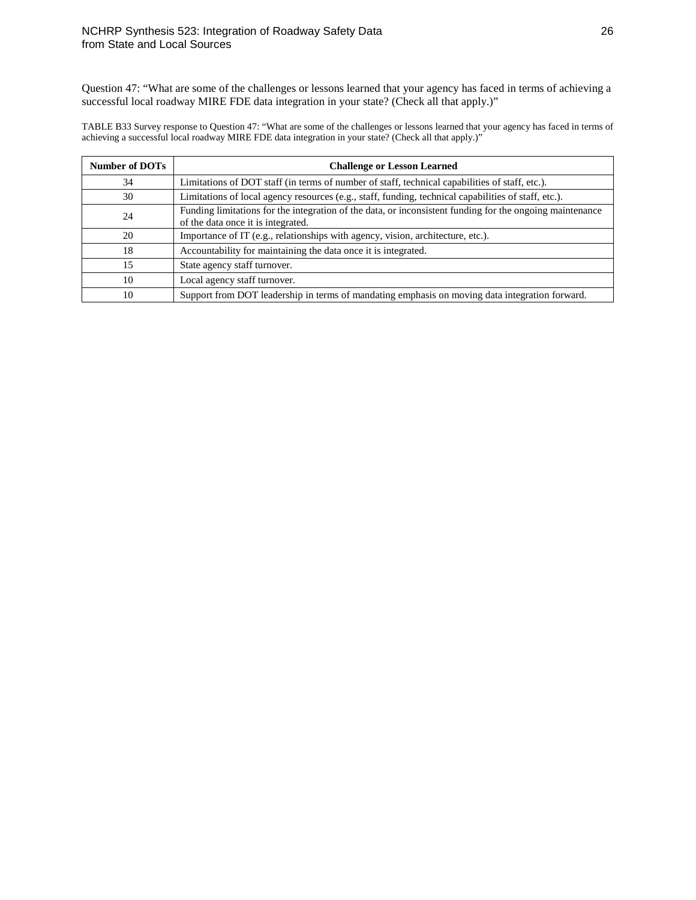Question 47: "What are some of the challenges or lessons learned that your agency has faced in terms of achieving a successful local roadway MIRE FDE data integration in your state? (Check all that apply.)"

TABLE B33 Survey response to Question 47: "What are some of the challenges or lessons learned that your agency has faced in terms of achieving a successful local roadway MIRE FDE data integration in your state? (Check all that apply.)"

| <b>Number of DOTs</b> | <b>Challenge or Lesson Learned</b>                                                                                                             |
|-----------------------|------------------------------------------------------------------------------------------------------------------------------------------------|
| 34                    | Limitations of DOT staff (in terms of number of staff, technical capabilities of staff, etc.).                                                 |
| 30                    | Limitations of local agency resources (e.g., staff, funding, technical capabilities of staff, etc.).                                           |
| 24                    | Funding limitations for the integration of the data, or inconsistent funding for the ongoing maintenance<br>of the data once it is integrated. |
| 20                    | Importance of IT (e.g., relationships with agency, vision, architecture, etc.).                                                                |
| 18                    | Accountability for maintaining the data once it is integrated.                                                                                 |
| 15                    | State agency staff turnover.                                                                                                                   |
| 10                    | Local agency staff turnover.                                                                                                                   |
| 10                    | Support from DOT leadership in terms of mandating emphasis on moving data integration forward.                                                 |